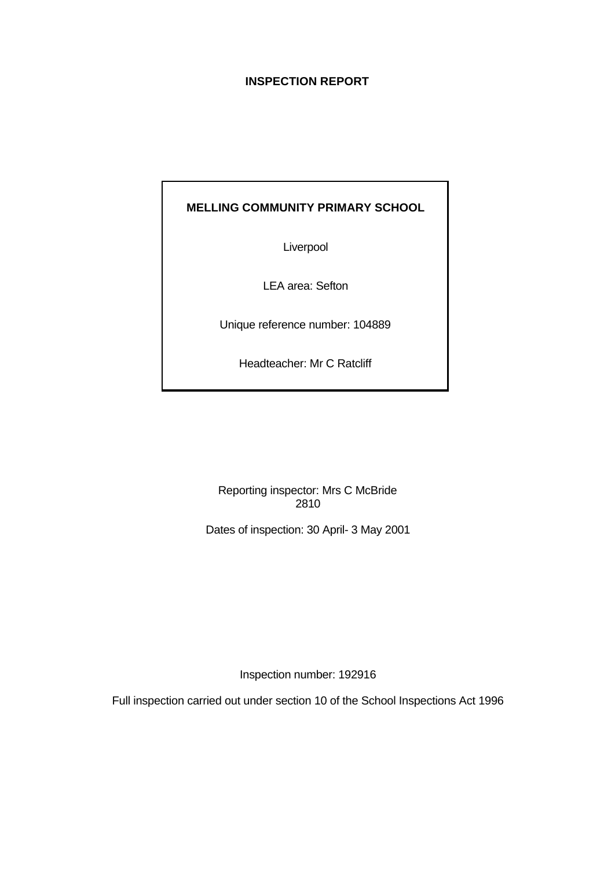# **INSPECTION REPORT**

# **MELLING COMMUNITY PRIMARY SCHOOL**

Liverpool

LEA area: Sefton

Unique reference number: 104889

Headteacher: Mr C Ratcliff

Reporting inspector: Mrs C McBride 2810

Dates of inspection: 30 April- 3 May 2001

Inspection number: 192916

Full inspection carried out under section 10 of the School Inspections Act 1996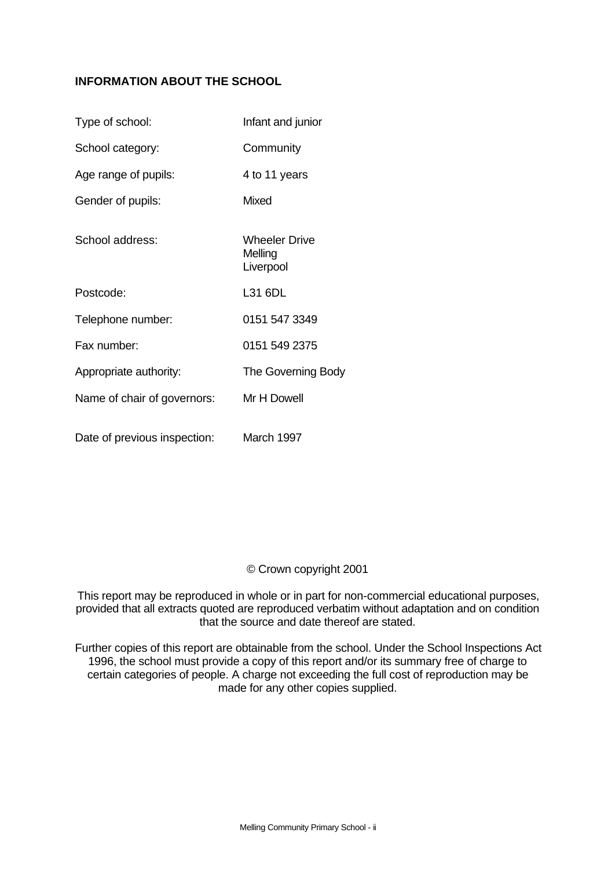# **INFORMATION ABOUT THE SCHOOL**

| Type of school:              | Infant and junior                            |
|------------------------------|----------------------------------------------|
| School category:             | Community                                    |
| Age range of pupils:         | 4 to 11 years                                |
| Gender of pupils:            | <b>Mixed</b>                                 |
| School address:              | <b>Wheeler Drive</b><br>Melling<br>Liverpool |
| Postcode:                    | L31 6DL                                      |
| Telephone number:            | 0151 547 3349                                |
| Fax number:                  | 0151 549 2375                                |
| Appropriate authority:       | The Governing Body                           |
| Name of chair of governors:  | Mr H Dowell                                  |
| Date of previous inspection: | March 1997                                   |

# © Crown copyright 2001

This report may be reproduced in whole or in part for non-commercial educational purposes, provided that all extracts quoted are reproduced verbatim without adaptation and on condition that the source and date thereof are stated.

Further copies of this report are obtainable from the school. Under the School Inspections Act 1996, the school must provide a copy of this report and/or its summary free of charge to certain categories of people. A charge not exceeding the full cost of reproduction may be made for any other copies supplied.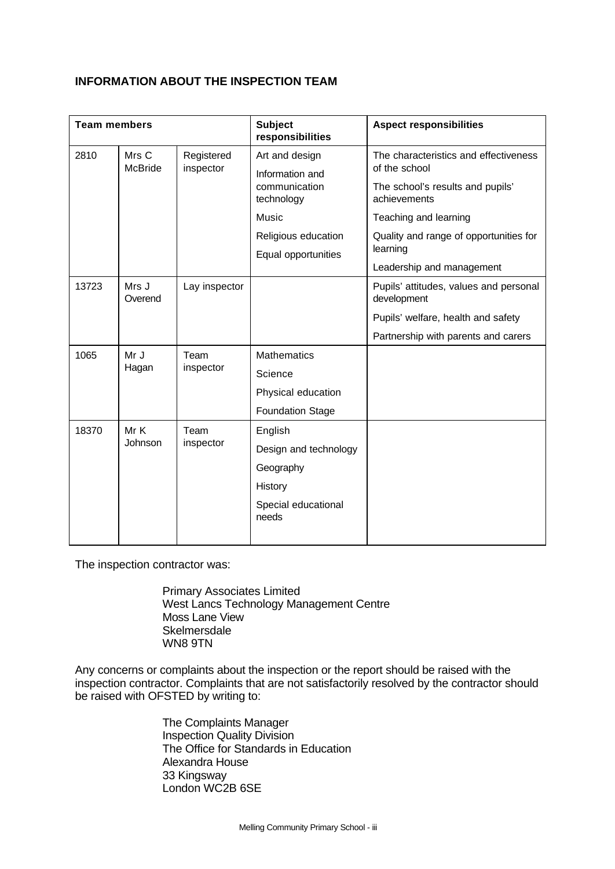# **INFORMATION ABOUT THE INSPECTION TEAM**

| <b>Team members</b> |                         | <b>Subject</b><br>responsibilities | <b>Aspect responsibilities</b>                 |                                                        |
|---------------------|-------------------------|------------------------------------|------------------------------------------------|--------------------------------------------------------|
| 2810                | Mrs C<br><b>McBride</b> | Registered<br>inspector            | Art and design                                 | The characteristics and effectiveness<br>of the school |
|                     |                         |                                    | Information and<br>communication<br>technology | The school's results and pupils'<br>achievements       |
|                     |                         |                                    | Music                                          | Teaching and learning                                  |
|                     |                         |                                    | Religious education                            | Quality and range of opportunities for                 |
|                     |                         |                                    | Equal opportunities                            | learning                                               |
|                     |                         |                                    |                                                | Leadership and management                              |
| 13723               | Mrs J<br>Overend        | Lay inspector                      |                                                | Pupils' attitudes, values and personal<br>development  |
|                     |                         |                                    |                                                | Pupils' welfare, health and safety                     |
|                     |                         |                                    |                                                | Partnership with parents and carers                    |
| 1065                | Mr J                    | Team                               | <b>Mathematics</b>                             |                                                        |
|                     | Hagan                   | inspector                          | Science                                        |                                                        |
|                     |                         |                                    | Physical education                             |                                                        |
|                     |                         |                                    | <b>Foundation Stage</b>                        |                                                        |
| 18370               | Mr K                    | Team                               | English                                        |                                                        |
|                     | Johnson                 | inspector                          | Design and technology                          |                                                        |
|                     |                         |                                    | Geography                                      |                                                        |
|                     |                         |                                    | History                                        |                                                        |
|                     |                         |                                    | Special educational<br>needs                   |                                                        |
|                     |                         |                                    |                                                |                                                        |

The inspection contractor was:

Primary Associates Limited West Lancs Technology Management Centre Moss Lane View **Skelmersdale** WN8 9TN

Any concerns or complaints about the inspection or the report should be raised with the inspection contractor. Complaints that are not satisfactorily resolved by the contractor should be raised with OFSTED by writing to:

> The Complaints Manager Inspection Quality Division The Office for Standards in Education Alexandra House 33 Kingsway London WC2B 6SE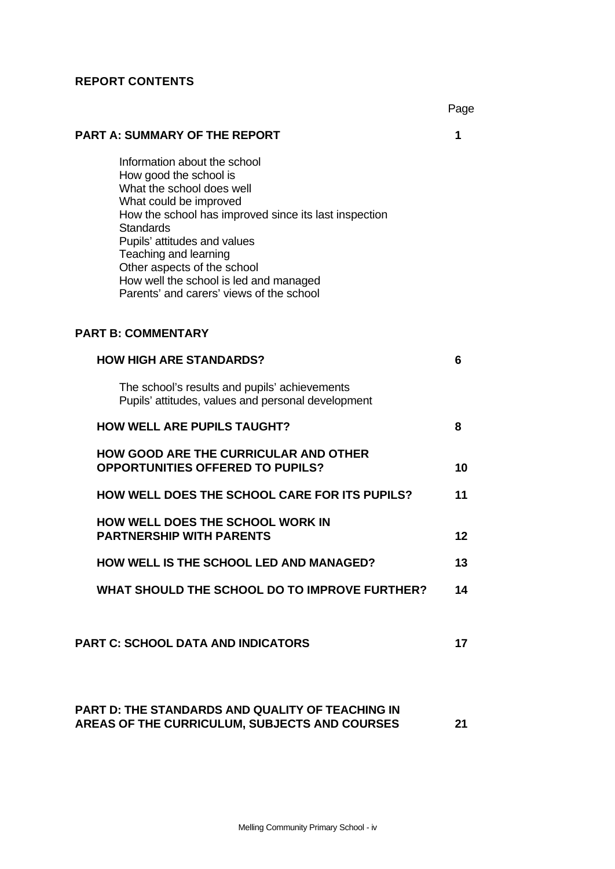## **REPORT CONTENTS**

Page

# **PART A: SUMMARY OF THE REPORT 1**

Information about the school How good the school is What the school does well What could be improved How the school has improved since its last inspection **Standards** Pupils' attitudes and values Teaching and learning Other aspects of the school How well the school is led and managed Parents' and carers' views of the school

# **PART B: COMMENTARY**

| <b>HOW HIGH ARE STANDARDS?</b>                                                                      | 6  |
|-----------------------------------------------------------------------------------------------------|----|
| The school's results and pupils' achievements<br>Pupils' attitudes, values and personal development |    |
| <b>HOW WELL ARE PUPILS TAUGHT?</b>                                                                  | 8  |
| <b>HOW GOOD ARE THE CURRICULAR AND OTHER</b><br><b>OPPORTUNITIES OFFERED TO PUPILS?</b>             | 10 |
| <b>HOW WELL DOES THE SCHOOL CARE FOR ITS PUPILS?</b>                                                | 11 |
| <b>HOW WELL DOES THE SCHOOL WORK IN</b><br><b>PARTNERSHIP WITH PARENTS</b>                          | 12 |
| <b>HOW WELL IS THE SCHOOL LED AND MANAGED?</b>                                                      | 13 |
| WHAT SHOULD THE SCHOOL DO TO IMPROVE FURTHER?                                                       | 14 |
|                                                                                                     |    |
| <b>PART C: SCHOOL DATA AND INDICATORS</b>                                                           | 17 |
|                                                                                                     |    |

# **PART D: THE STANDARDS AND QUALITY OF TEACHING IN AREAS OF THE CURRICULUM, SUBJECTS AND COURSES 21**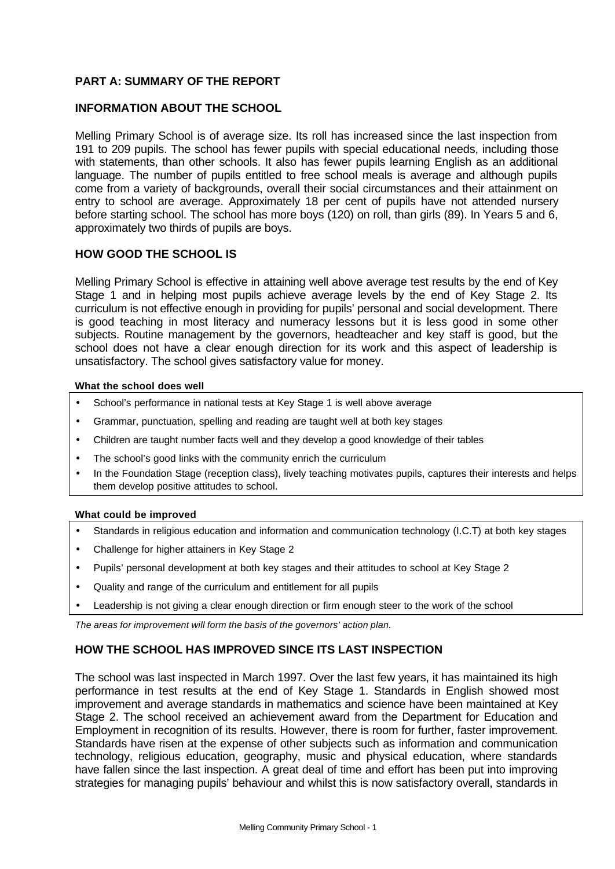# **PART A: SUMMARY OF THE REPORT**

# **INFORMATION ABOUT THE SCHOOL**

Melling Primary School is of average size. Its roll has increased since the last inspection from 191 to 209 pupils. The school has fewer pupils with special educational needs, including those with statements, than other schools. It also has fewer pupils learning English as an additional language. The number of pupils entitled to free school meals is average and although pupils come from a variety of backgrounds, overall their social circumstances and their attainment on entry to school are average. Approximately 18 per cent of pupils have not attended nursery before starting school. The school has more boys (120) on roll, than girls (89). In Years 5 and 6, approximately two thirds of pupils are boys.

# **HOW GOOD THE SCHOOL IS**

Melling Primary School is effective in attaining well above average test results by the end of Key Stage 1 and in helping most pupils achieve average levels by the end of Key Stage 2. Its curriculum is not effective enough in providing for pupils' personal and social development. There is good teaching in most literacy and numeracy lessons but it is less good in some other subjects. Routine management by the governors, headteacher and key staff is good, but the school does not have a clear enough direction for its work and this aspect of leadership is unsatisfactory. The school gives satisfactory value for money.

#### **What the school does well**

- School's performance in national tests at Key Stage 1 is well above average
- Grammar, punctuation, spelling and reading are taught well at both key stages
- Children are taught number facts well and they develop a good knowledge of their tables
- The school's good links with the community enrich the curriculum
- In the Foundation Stage (reception class), lively teaching motivates pupils, captures their interests and helps them develop positive attitudes to school.

#### **What could be improved**

- Standards in religious education and information and communication technology (I.C.T) at both key stages
- Challenge for higher attainers in Key Stage 2
- Pupils' personal development at both key stages and their attitudes to school at Key Stage 2
- Quality and range of the curriculum and entitlement for all pupils
- Leadership is not giving a clear enough direction or firm enough steer to the work of the school

*The areas for improvement will form the basis of the governors' action plan.*

# **HOW THE SCHOOL HAS IMPROVED SINCE ITS LAST INSPECTION**

The school was last inspected in March 1997. Over the last few years, it has maintained its high performance in test results at the end of Key Stage 1. Standards in English showed most improvement and average standards in mathematics and science have been maintained at Key Stage 2. The school received an achievement award from the Department for Education and Employment in recognition of its results. However, there is room for further, faster improvement. Standards have risen at the expense of other subjects such as information and communication technology, religious education, geography, music and physical education, where standards have fallen since the last inspection. A great deal of time and effort has been put into improving strategies for managing pupils' behaviour and whilst this is now satisfactory overall, standards in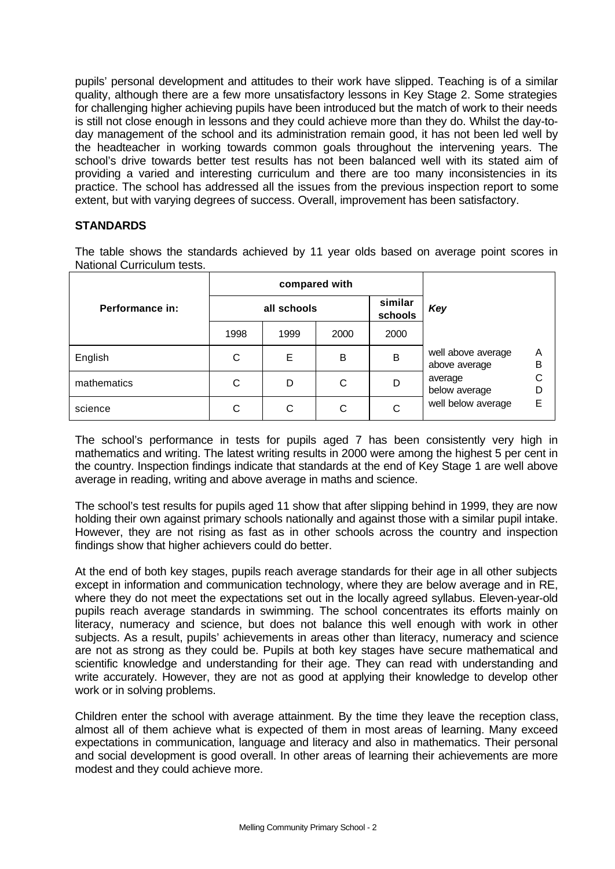pupils' personal development and attitudes to their work have slipped. Teaching is of a similar quality, although there are a few more unsatisfactory lessons in Key Stage 2. Some strategies for challenging higher achieving pupils have been introduced but the match of work to their needs is still not close enough in lessons and they could achieve more than they do. Whilst the day-today management of the school and its administration remain good, it has not been led well by the headteacher in working towards common goals throughout the intervening years. The school's drive towards better test results has not been balanced well with its stated aim of providing a varied and interesting curriculum and there are too many inconsistencies in its practice. The school has addressed all the issues from the previous inspection report to some extent, but with varying degrees of success. Overall, improvement has been satisfactory.

# **STANDARDS**

The table shows the standards achieved by 11 year olds based on average point scores in National Curriculum tests.

|                 |      | compared with |      |                    |                                     |        |
|-----------------|------|---------------|------|--------------------|-------------------------------------|--------|
| Performance in: |      | all schools   |      | similar<br>schools | Key                                 |        |
|                 | 1998 | 1999          | 2000 | 2000               |                                     |        |
| English         | С    | Е             | в    | B                  | well above average<br>above average | Α<br>B |
| mathematics     | С    | D             | С    | D                  | average<br>below average            |        |
| science         | С    | С             | С    | С                  | well below average                  | F      |

The school's performance in tests for pupils aged 7 has been consistently very high in mathematics and writing. The latest writing results in 2000 were among the highest 5 per cent in the country. Inspection findings indicate that standards at the end of Key Stage 1 are well above average in reading, writing and above average in maths and science.

The school's test results for pupils aged 11 show that after slipping behind in 1999, they are now holding their own against primary schools nationally and against those with a similar pupil intake. However, they are not rising as fast as in other schools across the country and inspection findings show that higher achievers could do better.

At the end of both key stages, pupils reach average standards for their age in all other subjects except in information and communication technology, where they are below average and in RE, where they do not meet the expectations set out in the locally agreed syllabus. Eleven-year-old pupils reach average standards in swimming. The school concentrates its efforts mainly on literacy, numeracy and science, but does not balance this well enough with work in other subjects. As a result, pupils' achievements in areas other than literacy, numeracy and science are not as strong as they could be. Pupils at both key stages have secure mathematical and scientific knowledge and understanding for their age. They can read with understanding and write accurately. However, they are not as good at applying their knowledge to develop other work or in solving problems.

Children enter the school with average attainment. By the time they leave the reception class, almost all of them achieve what is expected of them in most areas of learning. Many exceed expectations in communication, language and literacy and also in mathematics. Their personal and social development is good overall. In other areas of learning their achievements are more modest and they could achieve more.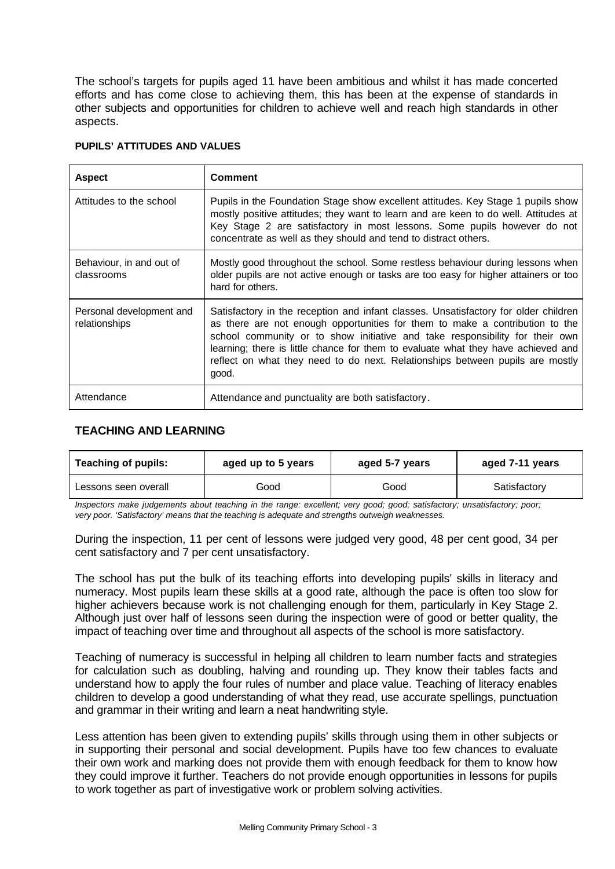The school's targets for pupils aged 11 have been ambitious and whilst it has made concerted efforts and has come close to achieving them, this has been at the expense of standards in other subjects and opportunities for children to achieve well and reach high standards in other aspects.

| <b>Aspect</b>                             | Comment                                                                                                                                                                                                                                                                                                                                                                                                                            |
|-------------------------------------------|------------------------------------------------------------------------------------------------------------------------------------------------------------------------------------------------------------------------------------------------------------------------------------------------------------------------------------------------------------------------------------------------------------------------------------|
| Attitudes to the school                   | Pupils in the Foundation Stage show excellent attitudes. Key Stage 1 pupils show<br>mostly positive attitudes; they want to learn and are keen to do well. Attitudes at<br>Key Stage 2 are satisfactory in most lessons. Some pupils however do not<br>concentrate as well as they should and tend to distract others.                                                                                                             |
| Behaviour, in and out of<br>classrooms    | Mostly good throughout the school. Some restless behaviour during lessons when<br>older pupils are not active enough or tasks are too easy for higher attainers or too<br>hard for others.                                                                                                                                                                                                                                         |
| Personal development and<br>relationships | Satisfactory in the reception and infant classes. Unsatisfactory for older children<br>as there are not enough opportunities for them to make a contribution to the<br>school community or to show initiative and take responsibility for their own<br>learning; there is little chance for them to evaluate what they have achieved and<br>reflect on what they need to do next. Relationships between pupils are mostly<br>good. |
| Attendance                                | Attendance and punctuality are both satisfactory.                                                                                                                                                                                                                                                                                                                                                                                  |

# **PUPILS' ATTITUDES AND VALUES**

# **TEACHING AND LEARNING**

| <b>Teaching of pupils:</b><br>aged up to 5 years |      | aged 5-7 years | aged 7-11 years |  |
|--------------------------------------------------|------|----------------|-----------------|--|
| Lessons seen overall                             | Good | Good           | Satisfactory    |  |

*Inspectors make judgements about teaching in the range: excellent; very good; good; satisfactory; unsatisfactory; poor; very poor. 'Satisfactory' means that the teaching is adequate and strengths outweigh weaknesses.*

During the inspection, 11 per cent of lessons were judged very good, 48 per cent good, 34 per cent satisfactory and 7 per cent unsatisfactory.

The school has put the bulk of its teaching efforts into developing pupils' skills in literacy and numeracy. Most pupils learn these skills at a good rate, although the pace is often too slow for higher achievers because work is not challenging enough for them, particularly in Key Stage 2. Although just over half of lessons seen during the inspection were of good or better quality, the impact of teaching over time and throughout all aspects of the school is more satisfactory.

Teaching of numeracy is successful in helping all children to learn number facts and strategies for calculation such as doubling, halving and rounding up. They know their tables facts and understand how to apply the four rules of number and place value. Teaching of literacy enables children to develop a good understanding of what they read, use accurate spellings, punctuation and grammar in their writing and learn a neat handwriting style.

Less attention has been given to extending pupils' skills through using them in other subjects or in supporting their personal and social development. Pupils have too few chances to evaluate their own work and marking does not provide them with enough feedback for them to know how they could improve it further. Teachers do not provide enough opportunities in lessons for pupils to work together as part of investigative work or problem solving activities.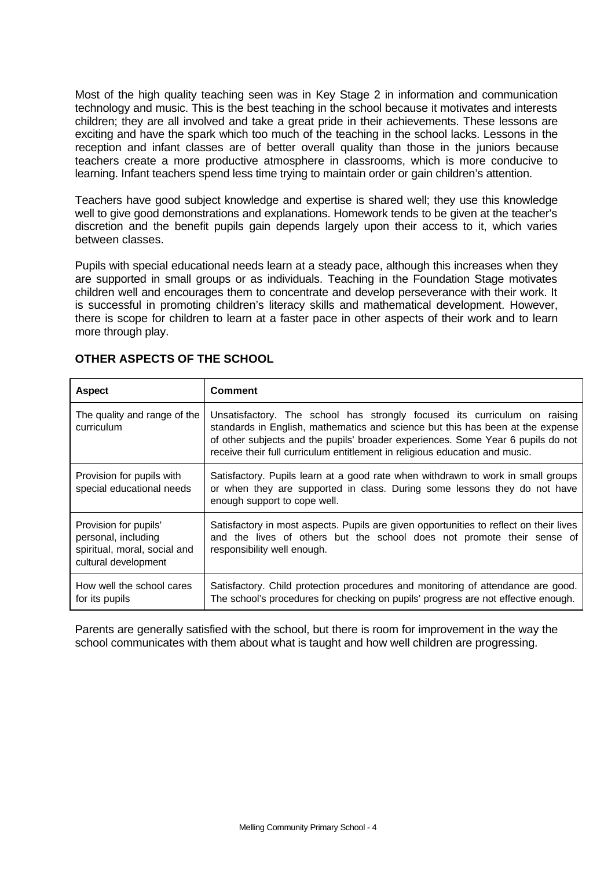Most of the high quality teaching seen was in Key Stage 2 in information and communication technology and music. This is the best teaching in the school because it motivates and interests children; they are all involved and take a great pride in their achievements. These lessons are exciting and have the spark which too much of the teaching in the school lacks. Lessons in the reception and infant classes are of better overall quality than those in the juniors because teachers create a more productive atmosphere in classrooms, which is more conducive to learning. Infant teachers spend less time trying to maintain order or gain children's attention.

Teachers have good subject knowledge and expertise is shared well; they use this knowledge well to give good demonstrations and explanations. Homework tends to be given at the teacher's discretion and the benefit pupils gain depends largely upon their access to it, which varies between classes.

Pupils with special educational needs learn at a steady pace, although this increases when they are supported in small groups or as individuals. Teaching in the Foundation Stage motivates children well and encourages them to concentrate and develop perseverance with their work. It is successful in promoting children's literacy skills and mathematical development. However, there is scope for children to learn at a faster pace in other aspects of their work and to learn more through play.

| <b>Aspect</b>                                                                                        | <b>Comment</b>                                                                                                                                                                                                                                                                                                                 |
|------------------------------------------------------------------------------------------------------|--------------------------------------------------------------------------------------------------------------------------------------------------------------------------------------------------------------------------------------------------------------------------------------------------------------------------------|
| The quality and range of the<br>curriculum                                                           | Unsatisfactory. The school has strongly focused its curriculum on raising<br>standards in English, mathematics and science but this has been at the expense<br>of other subjects and the pupils' broader experiences. Some Year 6 pupils do not<br>receive their full curriculum entitlement in religious education and music. |
| Provision for pupils with<br>special educational needs                                               | Satisfactory. Pupils learn at a good rate when withdrawn to work in small groups<br>or when they are supported in class. During some lessons they do not have<br>enough support to cope well.                                                                                                                                  |
| Provision for pupils'<br>personal, including<br>spiritual, moral, social and<br>cultural development | Satisfactory in most aspects. Pupils are given opportunities to reflect on their lives<br>and the lives of others but the school does not promote their sense of<br>responsibility well enough.                                                                                                                                |
| How well the school cares<br>for its pupils                                                          | Satisfactory. Child protection procedures and monitoring of attendance are good.<br>The school's procedures for checking on pupils' progress are not effective enough.                                                                                                                                                         |

# **OTHER ASPECTS OF THE SCHOOL**

Parents are generally satisfied with the school, but there is room for improvement in the way the school communicates with them about what is taught and how well children are progressing.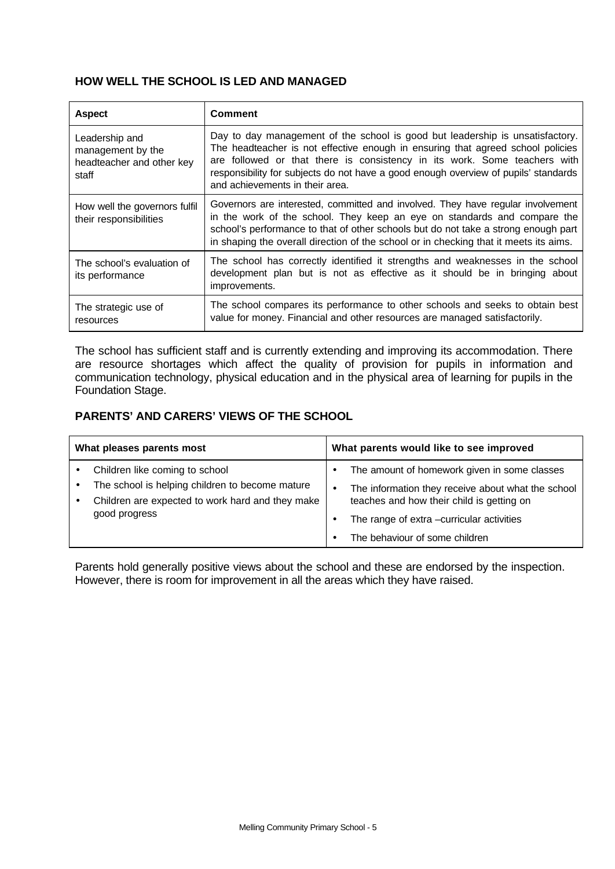# **HOW WELL THE SCHOOL IS LED AND MANAGED**

| <b>Aspect</b>                                                             | <b>Comment</b>                                                                                                                                                                                                                                                                                                                                                          |
|---------------------------------------------------------------------------|-------------------------------------------------------------------------------------------------------------------------------------------------------------------------------------------------------------------------------------------------------------------------------------------------------------------------------------------------------------------------|
| Leadership and<br>management by the<br>headteacher and other key<br>staff | Day to day management of the school is good but leadership is unsatisfactory.<br>The headteacher is not effective enough in ensuring that agreed school policies<br>are followed or that there is consistency in its work. Some teachers with<br>responsibility for subjects do not have a good enough overview of pupils' standards<br>and achievements in their area. |
| How well the governors fulfil<br>their responsibilities                   | Governors are interested, committed and involved. They have regular involvement<br>in the work of the school. They keep an eye on standards and compare the<br>school's performance to that of other schools but do not take a strong enough part<br>in shaping the overall direction of the school or in checking that it meets its aims.                              |
| The school's evaluation of<br>its performance                             | The school has correctly identified it strengths and weaknesses in the school<br>development plan but is not as effective as it should be in bringing about<br>improvements.                                                                                                                                                                                            |
| The strategic use of<br>resources                                         | The school compares its performance to other schools and seeks to obtain best<br>value for money. Financial and other resources are managed satisfactorily.                                                                                                                                                                                                             |

The school has sufficient staff and is currently extending and improving its accommodation. There are resource shortages which affect the quality of provision for pupils in information and communication technology, physical education and in the physical area of learning for pupils in the Foundation Stage.

# **PARENTS' AND CARERS' VIEWS OF THE SCHOOL**

| What pleases parents most |                                                                                                                      | What parents would like to see improved |                                                                                                 |  |
|---------------------------|----------------------------------------------------------------------------------------------------------------------|-----------------------------------------|-------------------------------------------------------------------------------------------------|--|
|                           | Children like coming to school                                                                                       | $\bullet$                               | The amount of homework given in some classes                                                    |  |
|                           | The school is helping children to become mature<br>Children are expected to work hard and they make<br>good progress | ٠                                       | The information they receive about what the school<br>teaches and how their child is getting on |  |
|                           |                                                                                                                      |                                         | The range of extra -curricular activities                                                       |  |
|                           |                                                                                                                      |                                         | The behaviour of some children                                                                  |  |

Parents hold generally positive views about the school and these are endorsed by the inspection. However, there is room for improvement in all the areas which they have raised.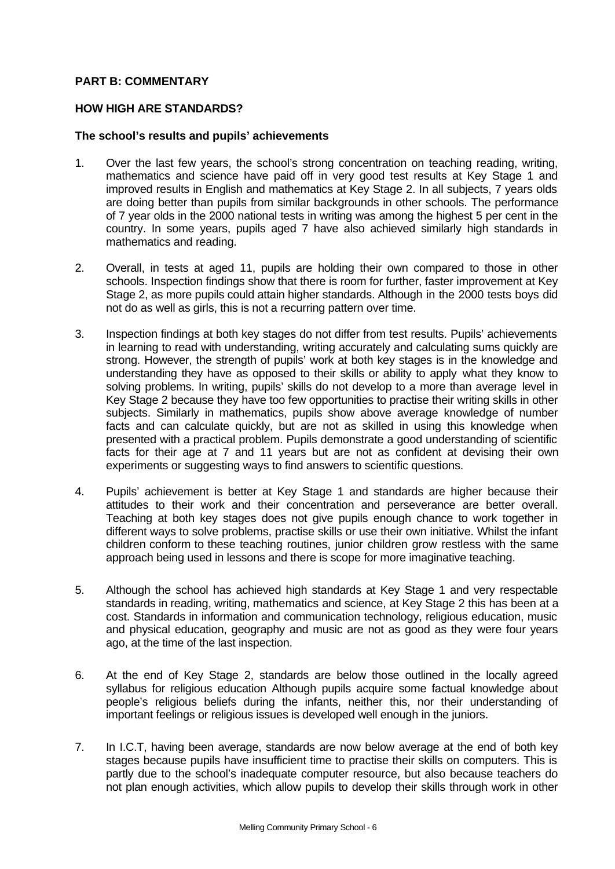# **PART B: COMMENTARY**

# **HOW HIGH ARE STANDARDS?**

## **The school's results and pupils' achievements**

- 1. Over the last few years, the school's strong concentration on teaching reading, writing, mathematics and science have paid off in very good test results at Key Stage 1 and improved results in English and mathematics at Key Stage 2. In all subjects, 7 years olds are doing better than pupils from similar backgrounds in other schools. The performance of 7 year olds in the 2000 national tests in writing was among the highest 5 per cent in the country. In some years, pupils aged 7 have also achieved similarly high standards in mathematics and reading.
- 2. Overall, in tests at aged 11, pupils are holding their own compared to those in other schools. Inspection findings show that there is room for further, faster improvement at Key Stage 2, as more pupils could attain higher standards. Although in the 2000 tests boys did not do as well as girls, this is not a recurring pattern over time.
- 3. Inspection findings at both key stages do not differ from test results. Pupils' achievements in learning to read with understanding, writing accurately and calculating sums quickly are strong. However, the strength of pupils' work at both key stages is in the knowledge and understanding they have as opposed to their skills or ability to apply what they know to solving problems. In writing, pupils' skills do not develop to a more than average level in Key Stage 2 because they have too few opportunities to practise their writing skills in other subjects. Similarly in mathematics, pupils show above average knowledge of number facts and can calculate quickly, but are not as skilled in using this knowledge when presented with a practical problem. Pupils demonstrate a good understanding of scientific facts for their age at 7 and 11 years but are not as confident at devising their own experiments or suggesting ways to find answers to scientific questions.
- 4. Pupils' achievement is better at Key Stage 1 and standards are higher because their attitudes to their work and their concentration and perseverance are better overall. Teaching at both key stages does not give pupils enough chance to work together in different ways to solve problems, practise skills or use their own initiative. Whilst the infant children conform to these teaching routines, junior children grow restless with the same approach being used in lessons and there is scope for more imaginative teaching.
- 5. Although the school has achieved high standards at Key Stage 1 and very respectable standards in reading, writing, mathematics and science, at Key Stage 2 this has been at a cost. Standards in information and communication technology, religious education, music and physical education, geography and music are not as good as they were four years ago, at the time of the last inspection.
- 6. At the end of Key Stage 2, standards are below those outlined in the locally agreed syllabus for religious education Although pupils acquire some factual knowledge about people's religious beliefs during the infants, neither this, nor their understanding of important feelings or religious issues is developed well enough in the juniors.
- 7. In I.C.T, having been average, standards are now below average at the end of both key stages because pupils have insufficient time to practise their skills on computers. This is partly due to the school's inadequate computer resource, but also because teachers do not plan enough activities, which allow pupils to develop their skills through work in other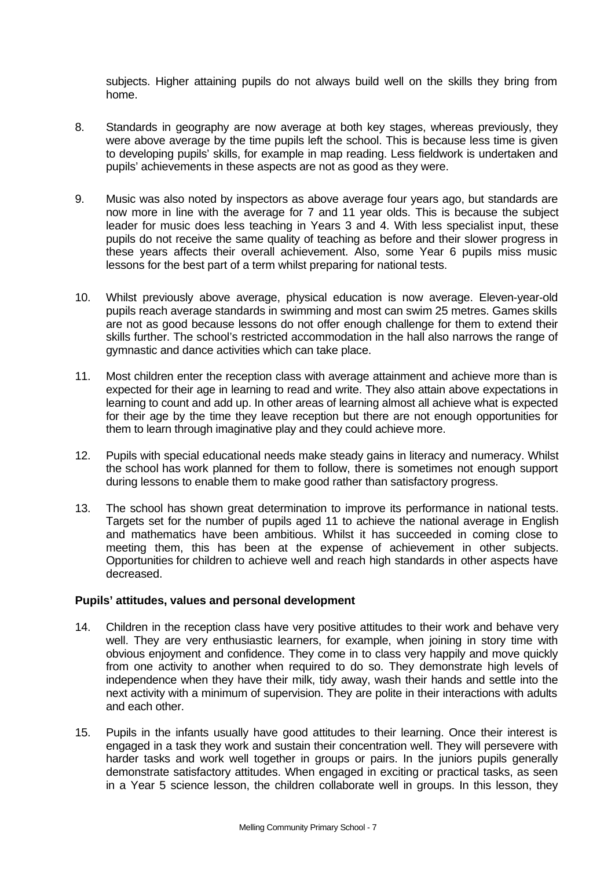subjects. Higher attaining pupils do not always build well on the skills they bring from home.

- 8. Standards in geography are now average at both key stages, whereas previously, they were above average by the time pupils left the school. This is because less time is given to developing pupils' skills, for example in map reading. Less fieldwork is undertaken and pupils' achievements in these aspects are not as good as they were.
- 9. Music was also noted by inspectors as above average four years ago, but standards are now more in line with the average for 7 and 11 year olds. This is because the subject leader for music does less teaching in Years 3 and 4. With less specialist input, these pupils do not receive the same quality of teaching as before and their slower progress in these years affects their overall achievement. Also, some Year 6 pupils miss music lessons for the best part of a term whilst preparing for national tests.
- 10. Whilst previously above average, physical education is now average. Eleven-year-old pupils reach average standards in swimming and most can swim 25 metres. Games skills are not as good because lessons do not offer enough challenge for them to extend their skills further. The school's restricted accommodation in the hall also narrows the range of gymnastic and dance activities which can take place.
- 11. Most children enter the reception class with average attainment and achieve more than is expected for their age in learning to read and write. They also attain above expectations in learning to count and add up. In other areas of learning almost all achieve what is expected for their age by the time they leave reception but there are not enough opportunities for them to learn through imaginative play and they could achieve more.
- 12. Pupils with special educational needs make steady gains in literacy and numeracy. Whilst the school has work planned for them to follow, there is sometimes not enough support during lessons to enable them to make good rather than satisfactory progress.
- 13. The school has shown great determination to improve its performance in national tests. Targets set for the number of pupils aged 11 to achieve the national average in English and mathematics have been ambitious. Whilst it has succeeded in coming close to meeting them, this has been at the expense of achievement in other subjects. Opportunities for children to achieve well and reach high standards in other aspects have decreased.

# **Pupils' attitudes, values and personal development**

- 14. Children in the reception class have very positive attitudes to their work and behave very well. They are very enthusiastic learners, for example, when joining in story time with obvious enjoyment and confidence. They come in to class very happily and move quickly from one activity to another when required to do so. They demonstrate high levels of independence when they have their milk, tidy away, wash their hands and settle into the next activity with a minimum of supervision. They are polite in their interactions with adults and each other.
- 15. Pupils in the infants usually have good attitudes to their learning. Once their interest is engaged in a task they work and sustain their concentration well. They will persevere with harder tasks and work well together in groups or pairs. In the juniors pupils generally demonstrate satisfactory attitudes. When engaged in exciting or practical tasks, as seen in a Year 5 science lesson, the children collaborate well in groups. In this lesson, they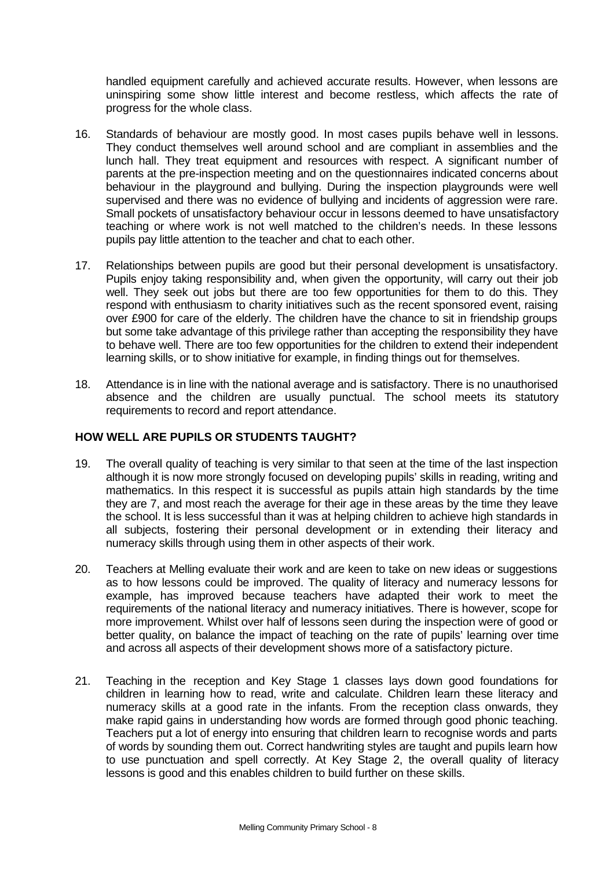handled equipment carefully and achieved accurate results. However, when lessons are uninspiring some show little interest and become restless, which affects the rate of progress for the whole class.

- 16. Standards of behaviour are mostly good. In most cases pupils behave well in lessons. They conduct themselves well around school and are compliant in assemblies and the lunch hall. They treat equipment and resources with respect. A significant number of parents at the pre-inspection meeting and on the questionnaires indicated concerns about behaviour in the playground and bullying. During the inspection playgrounds were well supervised and there was no evidence of bullying and incidents of aggression were rare. Small pockets of unsatisfactory behaviour occur in lessons deemed to have unsatisfactory teaching or where work is not well matched to the children's needs. In these lessons pupils pay little attention to the teacher and chat to each other.
- 17. Relationships between pupils are good but their personal development is unsatisfactory. Pupils enjoy taking responsibility and, when given the opportunity, will carry out their job well. They seek out jobs but there are too few opportunities for them to do this. They respond with enthusiasm to charity initiatives such as the recent sponsored event, raising over £900 for care of the elderly. The children have the chance to sit in friendship groups but some take advantage of this privilege rather than accepting the responsibility they have to behave well. There are too few opportunities for the children to extend their independent learning skills, or to show initiative for example, in finding things out for themselves.
- 18. Attendance is in line with the national average and is satisfactory. There is no unauthorised absence and the children are usually punctual. The school meets its statutory requirements to record and report attendance.

# **HOW WELL ARE PUPILS OR STUDENTS TAUGHT?**

- 19. The overall quality of teaching is very similar to that seen at the time of the last inspection although it is now more strongly focused on developing pupils' skills in reading, writing and mathematics. In this respect it is successful as pupils attain high standards by the time they are 7, and most reach the average for their age in these areas by the time they leave the school. It is less successful than it was at helping children to achieve high standards in all subjects, fostering their personal development or in extending their literacy and numeracy skills through using them in other aspects of their work.
- 20. Teachers at Melling evaluate their work and are keen to take on new ideas or suggestions as to how lessons could be improved. The quality of literacy and numeracy lessons for example, has improved because teachers have adapted their work to meet the requirements of the national literacy and numeracy initiatives. There is however, scope for more improvement. Whilst over half of lessons seen during the inspection were of good or better quality, on balance the impact of teaching on the rate of pupils' learning over time and across all aspects of their development shows more of a satisfactory picture.
- 21. Teaching in the reception and Key Stage 1 classes lays down good foundations for children in learning how to read, write and calculate. Children learn these literacy and numeracy skills at a good rate in the infants. From the reception class onwards, they make rapid gains in understanding how words are formed through good phonic teaching. Teachers put a lot of energy into ensuring that children learn to recognise words and parts of words by sounding them out. Correct handwriting styles are taught and pupils learn how to use punctuation and spell correctly. At Key Stage 2, the overall quality of literacy lessons is good and this enables children to build further on these skills.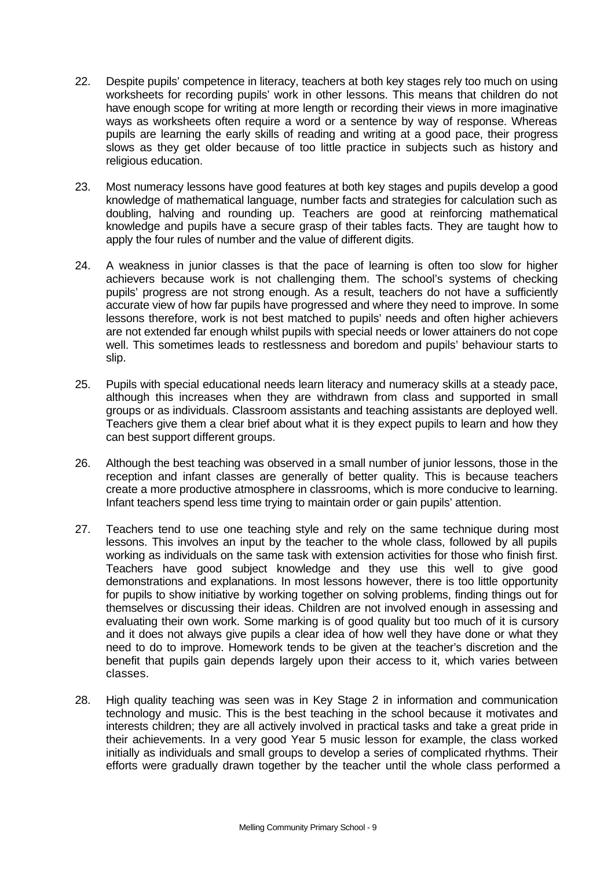- 22. Despite pupils' competence in literacy, teachers at both key stages rely too much on using worksheets for recording pupils' work in other lessons. This means that children do not have enough scope for writing at more length or recording their views in more imaginative ways as worksheets often require a word or a sentence by way of response. Whereas pupils are learning the early skills of reading and writing at a good pace, their progress slows as they get older because of too little practice in subjects such as history and religious education.
- 23. Most numeracy lessons have good features at both key stages and pupils develop a good knowledge of mathematical language, number facts and strategies for calculation such as doubling, halving and rounding up. Teachers are good at reinforcing mathematical knowledge and pupils have a secure grasp of their tables facts. They are taught how to apply the four rules of number and the value of different digits.
- 24. A weakness in junior classes is that the pace of learning is often too slow for higher achievers because work is not challenging them. The school's systems of checking pupils' progress are not strong enough. As a result, teachers do not have a sufficiently accurate view of how far pupils have progressed and where they need to improve. In some lessons therefore, work is not best matched to pupils' needs and often higher achievers are not extended far enough whilst pupils with special needs or lower attainers do not cope well. This sometimes leads to restlessness and boredom and pupils' behaviour starts to slip.
- 25. Pupils with special educational needs learn literacy and numeracy skills at a steady pace, although this increases when they are withdrawn from class and supported in small groups or as individuals. Classroom assistants and teaching assistants are deployed well. Teachers give them a clear brief about what it is they expect pupils to learn and how they can best support different groups.
- 26. Although the best teaching was observed in a small number of junior lessons, those in the reception and infant classes are generally of better quality. This is because teachers create a more productive atmosphere in classrooms, which is more conducive to learning. Infant teachers spend less time trying to maintain order or gain pupils' attention.
- 27. Teachers tend to use one teaching style and rely on the same technique during most lessons. This involves an input by the teacher to the whole class, followed by all pupils working as individuals on the same task with extension activities for those who finish first. Teachers have good subject knowledge and they use this well to give good demonstrations and explanations. In most lessons however, there is too little opportunity for pupils to show initiative by working together on solving problems, finding things out for themselves or discussing their ideas. Children are not involved enough in assessing and evaluating their own work. Some marking is of good quality but too much of it is cursory and it does not always give pupils a clear idea of how well they have done or what they need to do to improve. Homework tends to be given at the teacher's discretion and the benefit that pupils gain depends largely upon their access to it, which varies between classes.
- 28. High quality teaching was seen was in Key Stage 2 in information and communication technology and music. This is the best teaching in the school because it motivates and interests children; they are all actively involved in practical tasks and take a great pride in their achievements. In a very good Year 5 music lesson for example, the class worked initially as individuals and small groups to develop a series of complicated rhythms. Their efforts were gradually drawn together by the teacher until the whole class performed a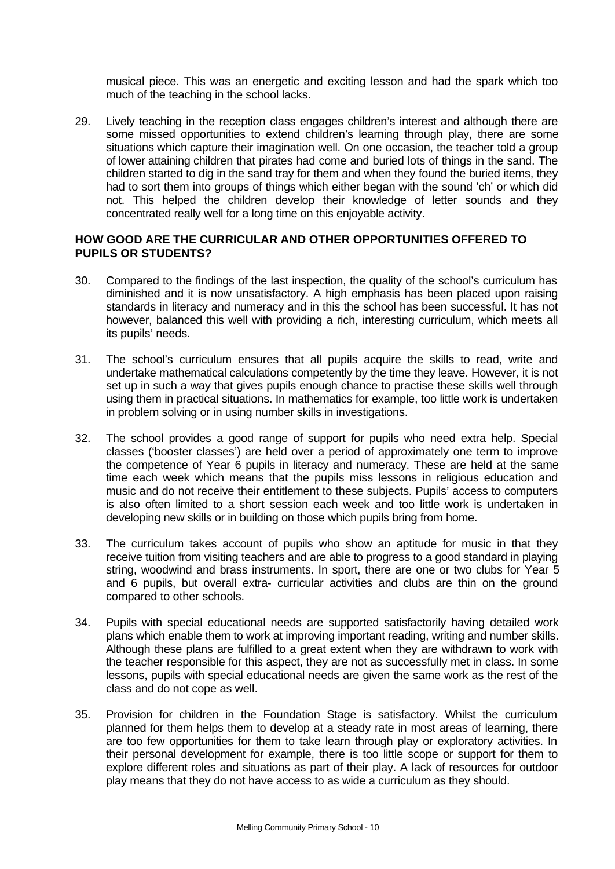musical piece. This was an energetic and exciting lesson and had the spark which too much of the teaching in the school lacks.

29. Lively teaching in the reception class engages children's interest and although there are some missed opportunities to extend children's learning through play, there are some situations which capture their imagination well. On one occasion, the teacher told a group of lower attaining children that pirates had come and buried lots of things in the sand. The children started to dig in the sand tray for them and when they found the buried items, they had to sort them into groups of things which either began with the sound 'ch' or which did not. This helped the children develop their knowledge of letter sounds and they concentrated really well for a long time on this enjoyable activity.

## **HOW GOOD ARE THE CURRICULAR AND OTHER OPPORTUNITIES OFFERED TO PUPILS OR STUDENTS?**

- 30. Compared to the findings of the last inspection, the quality of the school's curriculum has diminished and it is now unsatisfactory. A high emphasis has been placed upon raising standards in literacy and numeracy and in this the school has been successful. It has not however, balanced this well with providing a rich, interesting curriculum, which meets all its pupils' needs.
- 31. The school's curriculum ensures that all pupils acquire the skills to read, write and undertake mathematical calculations competently by the time they leave. However, it is not set up in such a way that gives pupils enough chance to practise these skills well through using them in practical situations. In mathematics for example, too little work is undertaken in problem solving or in using number skills in investigations.
- 32. The school provides a good range of support for pupils who need extra help. Special classes ('booster classes') are held over a period of approximately one term to improve the competence of Year 6 pupils in literacy and numeracy. These are held at the same time each week which means that the pupils miss lessons in religious education and music and do not receive their entitlement to these subjects. Pupils' access to computers is also often limited to a short session each week and too little work is undertaken in developing new skills or in building on those which pupils bring from home.
- 33. The curriculum takes account of pupils who show an aptitude for music in that they receive tuition from visiting teachers and are able to progress to a good standard in playing string, woodwind and brass instruments. In sport, there are one or two clubs for Year 5 and 6 pupils, but overall extra- curricular activities and clubs are thin on the ground compared to other schools.
- 34. Pupils with special educational needs are supported satisfactorily having detailed work plans which enable them to work at improving important reading, writing and number skills. Although these plans are fulfilled to a great extent when they are withdrawn to work with the teacher responsible for this aspect, they are not as successfully met in class. In some lessons, pupils with special educational needs are given the same work as the rest of the class and do not cope as well.
- 35. Provision for children in the Foundation Stage is satisfactory. Whilst the curriculum planned for them helps them to develop at a steady rate in most areas of learning, there are too few opportunities for them to take learn through play or exploratory activities. In their personal development for example, there is too little scope or support for them to explore different roles and situations as part of their play. A lack of resources for outdoor play means that they do not have access to as wide a curriculum as they should.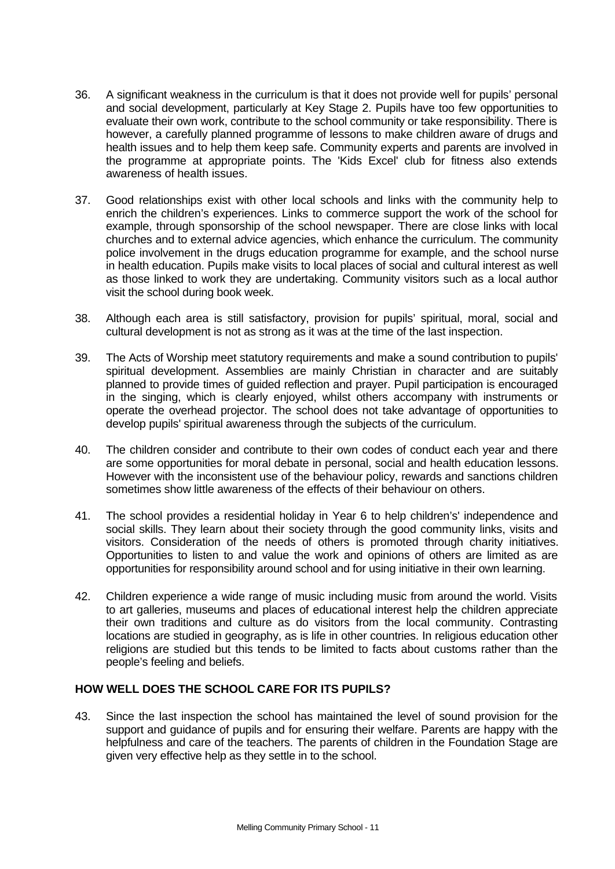- 36. A significant weakness in the curriculum is that it does not provide well for pupils' personal and social development, particularly at Key Stage 2. Pupils have too few opportunities to evaluate their own work, contribute to the school community or take responsibility. There is however, a carefully planned programme of lessons to make children aware of drugs and health issues and to help them keep safe. Community experts and parents are involved in the programme at appropriate points. The 'Kids Excel' club for fitness also extends awareness of health issues.
- 37. Good relationships exist with other local schools and links with the community help to enrich the children's experiences. Links to commerce support the work of the school for example, through sponsorship of the school newspaper. There are close links with local churches and to external advice agencies, which enhance the curriculum. The community police involvement in the drugs education programme for example, and the school nurse in health education. Pupils make visits to local places of social and cultural interest as well as those linked to work they are undertaking. Community visitors such as a local author visit the school during book week.
- 38. Although each area is still satisfactory, provision for pupils' spiritual, moral, social and cultural development is not as strong as it was at the time of the last inspection.
- 39. The Acts of Worship meet statutory requirements and make a sound contribution to pupils' spiritual development. Assemblies are mainly Christian in character and are suitably planned to provide times of guided reflection and prayer. Pupil participation is encouraged in the singing, which is clearly enjoyed, whilst others accompany with instruments or operate the overhead projector. The school does not take advantage of opportunities to develop pupils' spiritual awareness through the subjects of the curriculum.
- 40. The children consider and contribute to their own codes of conduct each year and there are some opportunities for moral debate in personal, social and health education lessons. However with the inconsistent use of the behaviour policy, rewards and sanctions children sometimes show little awareness of the effects of their behaviour on others.
- 41. The school provides a residential holiday in Year 6 to help children's' independence and social skills. They learn about their society through the good community links, visits and visitors. Consideration of the needs of others is promoted through charity initiatives. Opportunities to listen to and value the work and opinions of others are limited as are opportunities for responsibility around school and for using initiative in their own learning.
- 42. Children experience a wide range of music including music from around the world. Visits to art galleries, museums and places of educational interest help the children appreciate their own traditions and culture as do visitors from the local community. Contrasting locations are studied in geography, as is life in other countries. In religious education other religions are studied but this tends to be limited to facts about customs rather than the people's feeling and beliefs.

# **HOW WELL DOES THE SCHOOL CARE FOR ITS PUPILS?**

43. Since the last inspection the school has maintained the level of sound provision for the support and guidance of pupils and for ensuring their welfare. Parents are happy with the helpfulness and care of the teachers. The parents of children in the Foundation Stage are given very effective help as they settle in to the school.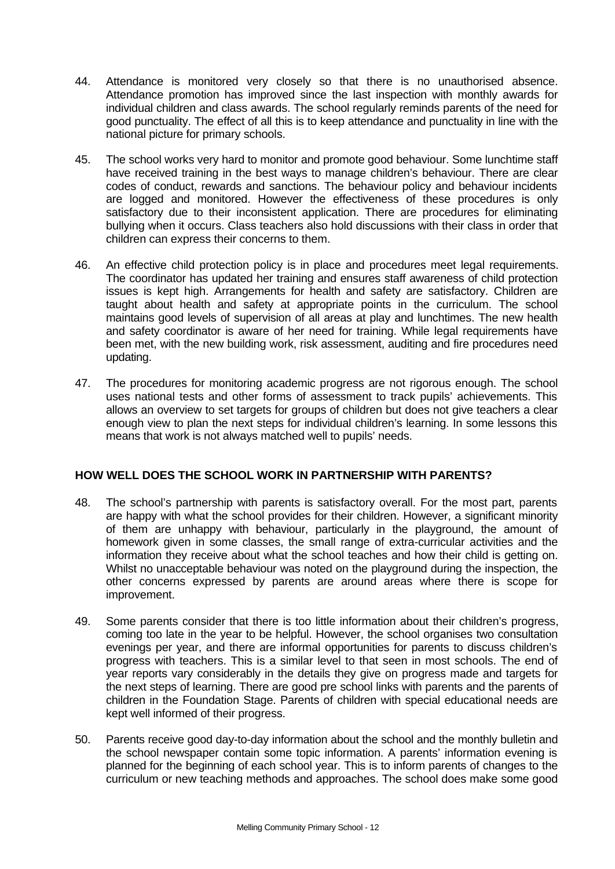- 44. Attendance is monitored very closely so that there is no unauthorised absence. Attendance promotion has improved since the last inspection with monthly awards for individual children and class awards. The school regularly reminds parents of the need for good punctuality. The effect of all this is to keep attendance and punctuality in line with the national picture for primary schools.
- 45. The school works very hard to monitor and promote good behaviour. Some lunchtime staff have received training in the best ways to manage children's behaviour. There are clear codes of conduct, rewards and sanctions. The behaviour policy and behaviour incidents are logged and monitored. However the effectiveness of these procedures is only satisfactory due to their inconsistent application. There are procedures for eliminating bullying when it occurs. Class teachers also hold discussions with their class in order that children can express their concerns to them.
- 46. An effective child protection policy is in place and procedures meet legal requirements. The coordinator has updated her training and ensures staff awareness of child protection issues is kept high. Arrangements for health and safety are satisfactory. Children are taught about health and safety at appropriate points in the curriculum. The school maintains good levels of supervision of all areas at play and lunchtimes. The new health and safety coordinator is aware of her need for training. While legal requirements have been met, with the new building work, risk assessment, auditing and fire procedures need updating.
- 47. The procedures for monitoring academic progress are not rigorous enough. The school uses national tests and other forms of assessment to track pupils' achievements. This allows an overview to set targets for groups of children but does not give teachers a clear enough view to plan the next steps for individual children's learning. In some lessons this means that work is not always matched well to pupils' needs.

# **HOW WELL DOES THE SCHOOL WORK IN PARTNERSHIP WITH PARENTS?**

- 48. The school's partnership with parents is satisfactory overall. For the most part, parents are happy with what the school provides for their children. However, a significant minority of them are unhappy with behaviour, particularly in the playground, the amount of homework given in some classes, the small range of extra-curricular activities and the information they receive about what the school teaches and how their child is getting on. Whilst no unacceptable behaviour was noted on the playground during the inspection, the other concerns expressed by parents are around areas where there is scope for improvement.
- 49. Some parents consider that there is too little information about their children's progress, coming too late in the year to be helpful. However, the school organises two consultation evenings per year, and there are informal opportunities for parents to discuss children's progress with teachers. This is a similar level to that seen in most schools. The end of year reports vary considerably in the details they give on progress made and targets for the next steps of learning. There are good pre school links with parents and the parents of children in the Foundation Stage. Parents of children with special educational needs are kept well informed of their progress.
- 50. Parents receive good day-to-day information about the school and the monthly bulletin and the school newspaper contain some topic information. A parents' information evening is planned for the beginning of each school year. This is to inform parents of changes to the curriculum or new teaching methods and approaches. The school does make some good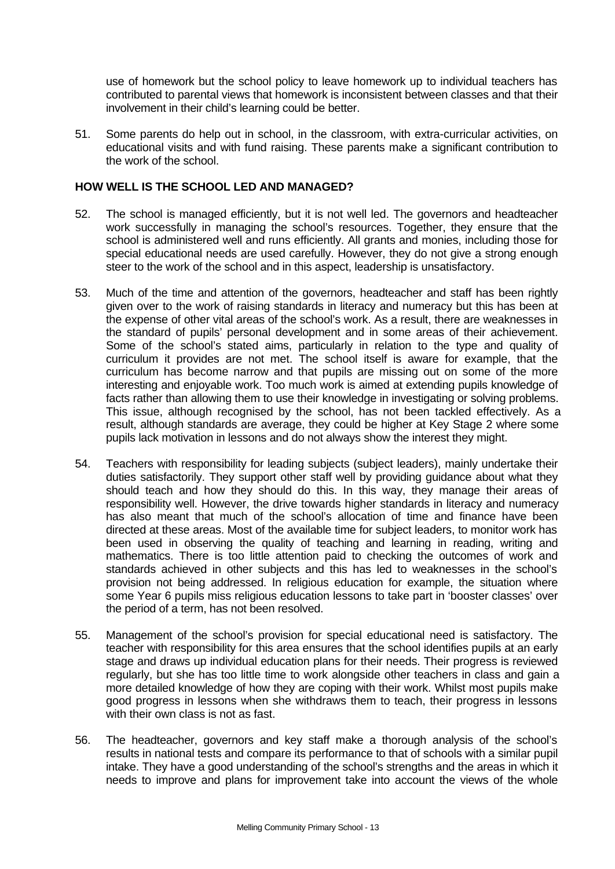use of homework but the school policy to leave homework up to individual teachers has contributed to parental views that homework is inconsistent between classes and that their involvement in their child's learning could be better.

51. Some parents do help out in school, in the classroom, with extra-curricular activities, on educational visits and with fund raising. These parents make a significant contribution to the work of the school.

# **HOW WELL IS THE SCHOOL LED AND MANAGED?**

- 52. The school is managed efficiently, but it is not well led. The governors and headteacher work successfully in managing the school's resources. Together, they ensure that the school is administered well and runs efficiently. All grants and monies, including those for special educational needs are used carefully. However, they do not give a strong enough steer to the work of the school and in this aspect, leadership is unsatisfactory.
- 53. Much of the time and attention of the governors, headteacher and staff has been rightly given over to the work of raising standards in literacy and numeracy but this has been at the expense of other vital areas of the school's work. As a result, there are weaknesses in the standard of pupils' personal development and in some areas of their achievement. Some of the school's stated aims, particularly in relation to the type and quality of curriculum it provides are not met. The school itself is aware for example, that the curriculum has become narrow and that pupils are missing out on some of the more interesting and enjoyable work. Too much work is aimed at extending pupils knowledge of facts rather than allowing them to use their knowledge in investigating or solving problems. This issue, although recognised by the school, has not been tackled effectively. As a result, although standards are average, they could be higher at Key Stage 2 where some pupils lack motivation in lessons and do not always show the interest they might.
- 54. Teachers with responsibility for leading subjects (subject leaders), mainly undertake their duties satisfactorily. They support other staff well by providing guidance about what they should teach and how they should do this. In this way, they manage their areas of responsibility well. However, the drive towards higher standards in literacy and numeracy has also meant that much of the school's allocation of time and finance have been directed at these areas. Most of the available time for subject leaders, to monitor work has been used in observing the quality of teaching and learning in reading, writing and mathematics. There is too little attention paid to checking the outcomes of work and standards achieved in other subjects and this has led to weaknesses in the school's provision not being addressed. In religious education for example, the situation where some Year 6 pupils miss religious education lessons to take part in 'booster classes' over the period of a term, has not been resolved.
- 55. Management of the school's provision for special educational need is satisfactory. The teacher with responsibility for this area ensures that the school identifies pupils at an early stage and draws up individual education plans for their needs. Their progress is reviewed regularly, but she has too little time to work alongside other teachers in class and gain a more detailed knowledge of how they are coping with their work. Whilst most pupils make good progress in lessons when she withdraws them to teach, their progress in lessons with their own class is not as fast.
- 56. The headteacher, governors and key staff make a thorough analysis of the school's results in national tests and compare its performance to that of schools with a similar pupil intake. They have a good understanding of the school's strengths and the areas in which it needs to improve and plans for improvement take into account the views of the whole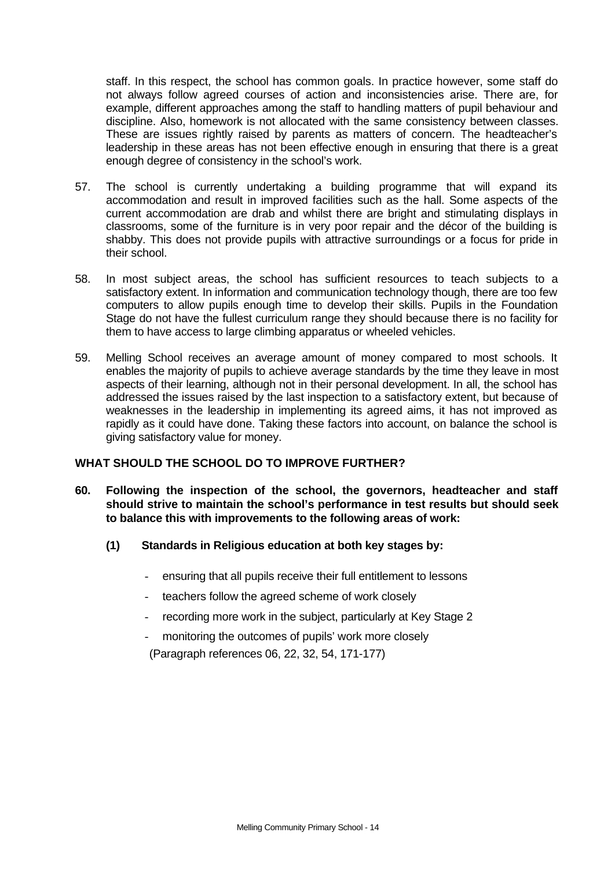staff. In this respect, the school has common goals. In practice however, some staff do not always follow agreed courses of action and inconsistencies arise. There are, for example, different approaches among the staff to handling matters of pupil behaviour and discipline. Also, homework is not allocated with the same consistency between classes. These are issues rightly raised by parents as matters of concern. The headteacher's leadership in these areas has not been effective enough in ensuring that there is a great enough degree of consistency in the school's work.

- 57. The school is currently undertaking a building programme that will expand its accommodation and result in improved facilities such as the hall. Some aspects of the current accommodation are drab and whilst there are bright and stimulating displays in classrooms, some of the furniture is in very poor repair and the décor of the building is shabby. This does not provide pupils with attractive surroundings or a focus for pride in their school.
- 58. In most subject areas, the school has sufficient resources to teach subjects to a satisfactory extent. In information and communication technology though, there are too few computers to allow pupils enough time to develop their skills. Pupils in the Foundation Stage do not have the fullest curriculum range they should because there is no facility for them to have access to large climbing apparatus or wheeled vehicles.
- 59. Melling School receives an average amount of money compared to most schools. It enables the majority of pupils to achieve average standards by the time they leave in most aspects of their learning, although not in their personal development. In all, the school has addressed the issues raised by the last inspection to a satisfactory extent, but because of weaknesses in the leadership in implementing its agreed aims, it has not improved as rapidly as it could have done. Taking these factors into account, on balance the school is giving satisfactory value for money.

# **WHAT SHOULD THE SCHOOL DO TO IMPROVE FURTHER?**

- **60. Following the inspection of the school, the governors, headteacher and staff should strive to maintain the school's performance in test results but should seek to balance this with improvements to the following areas of work:**
	- **(1) Standards in Religious education at both key stages by:**
		- ensuring that all pupils receive their full entitlement to lessons
		- teachers follow the agreed scheme of work closely
		- recording more work in the subject, particularly at Key Stage 2
		- monitoring the outcomes of pupils' work more closely

(Paragraph references 06, 22, 32, 54, 171-177)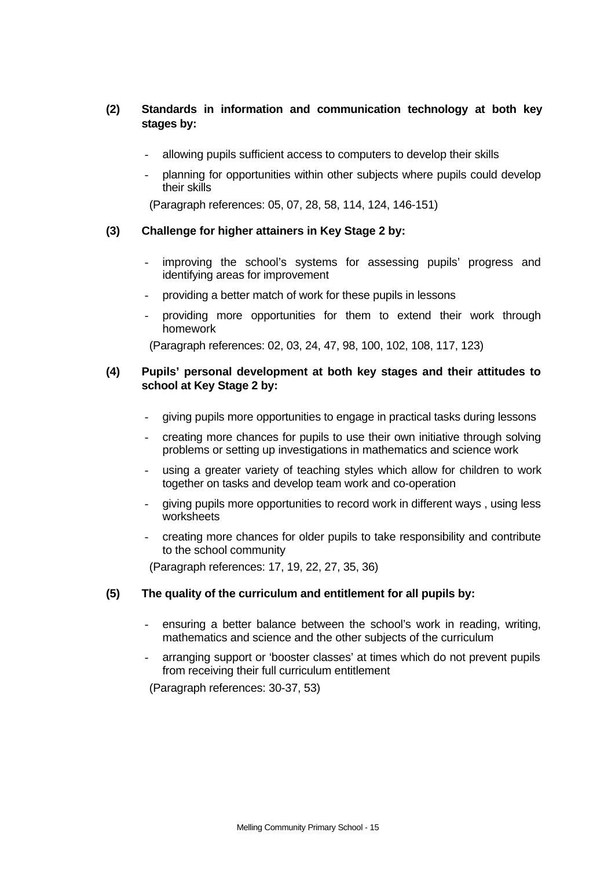# **(2) Standards in information and communication technology at both key stages by:**

- allowing pupils sufficient access to computers to develop their skills
- planning for opportunities within other subjects where pupils could develop their skills

(Paragraph references: 05, 07, 28, 58, 114, 124, 146-151)

## **(3) Challenge for higher attainers in Key Stage 2 by:**

- improving the school's systems for assessing pupils' progress and identifying areas for improvement
- providing a better match of work for these pupils in lessons
- providing more opportunities for them to extend their work through homework

(Paragraph references: 02, 03, 24, 47, 98, 100, 102, 108, 117, 123)

# **(4) Pupils' personal development at both key stages and their attitudes to school at Key Stage 2 by:**

- giving pupils more opportunities to engage in practical tasks during lessons
- creating more chances for pupils to use their own initiative through solving problems or setting up investigations in mathematics and science work
- using a greater variety of teaching styles which allow for children to work together on tasks and develop team work and co-operation
- giving pupils more opportunities to record work in different ways , using less worksheets
- creating more chances for older pupils to take responsibility and contribute to the school community

(Paragraph references: 17, 19, 22, 27, 35, 36)

# **(5) The quality of the curriculum and entitlement for all pupils by:**

- ensuring a better balance between the school's work in reading, writing, mathematics and science and the other subjects of the curriculum
- arranging support or 'booster classes' at times which do not prevent pupils from receiving their full curriculum entitlement

(Paragraph references: 30-37, 53)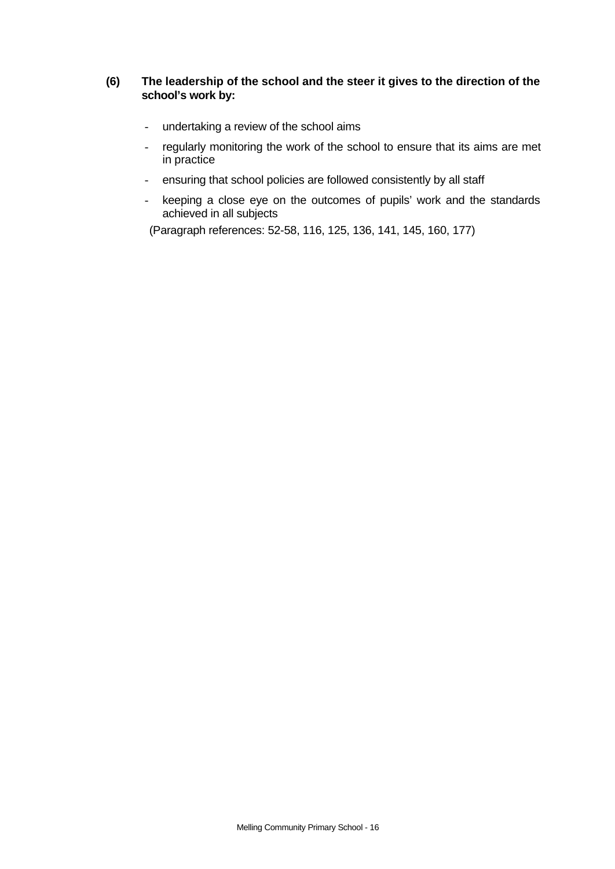# **(6) The leadership of the school and the steer it gives to the direction of the school's work by:**

- undertaking a review of the school aims
- regularly monitoring the work of the school to ensure that its aims are met in practice
- ensuring that school policies are followed consistently by all staff
- keeping a close eye on the outcomes of pupils' work and the standards achieved in all subjects

(Paragraph references: 52-58, 116, 125, 136, 141, 145, 160, 177)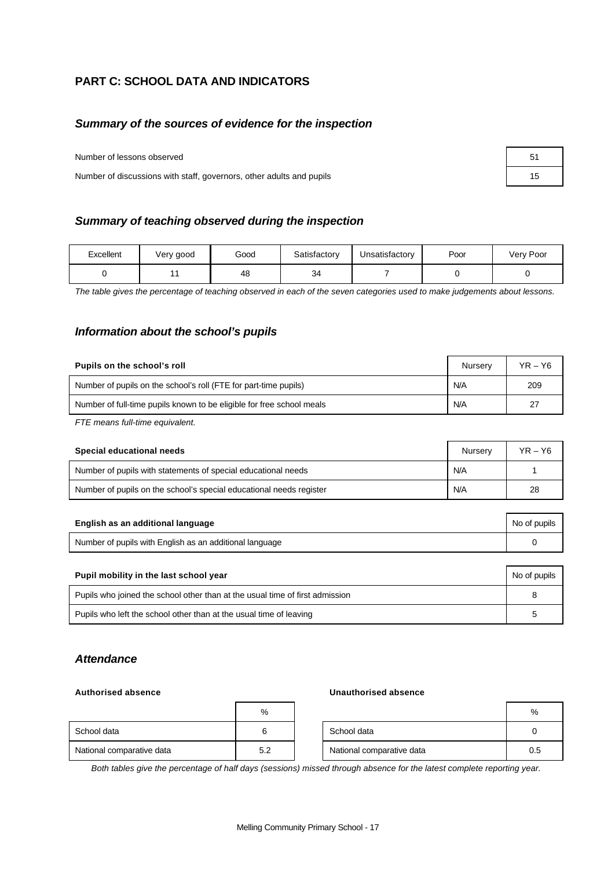# **PART C: SCHOOL DATA AND INDICATORS**

# *Summary of the sources of evidence for the inspection*

Number of lessons observed

Number of discussions with staff, governors, other adults and pupils

| Summary of teaching observed during the inspection |
|----------------------------------------------------|
|                                                    |

| Excellent | Very good | Good | Satisfactory | Unsatisfactory | Poor | Very Poor |
|-----------|-----------|------|--------------|----------------|------|-----------|
|           |           | 48   | 34           |                |      |           |

*The table gives the percentage of teaching observed in each of the seven categories used to make judgements about lessons.*

## *Information about the school's pupils*

| Pupils on the school's roll                                           | Nurserv | $YR - Y6$ |
|-----------------------------------------------------------------------|---------|-----------|
| Number of pupils on the school's roll (FTE for part-time pupils)      | N/A     | 209       |
| Number of full-time pupils known to be eligible for free school meals | N/A     | 27        |

*FTE means full-time equivalent.*

| Special educational needs                                           | Nurserv | $YR - Y6$ |
|---------------------------------------------------------------------|---------|-----------|
| Number of pupils with statements of special educational needs       | N/A     |           |
| Number of pupils on the school's special educational needs register | N/A     | 28        |

| English as an additional language                       | No of pupils |
|---------------------------------------------------------|--------------|
| Number of pupils with English as an additional language |              |

| Pupil mobility in the last school year                                       |  |  |  |  |
|------------------------------------------------------------------------------|--|--|--|--|
| Pupils who joined the school other than at the usual time of first admission |  |  |  |  |
| Pupils who left the school other than at the usual time of leaving           |  |  |  |  |

#### *Attendance*

#### **Authorised absence Unauthorised absence**

|                           | %   |                           | %   |
|---------------------------|-----|---------------------------|-----|
| School data               |     | School data               |     |
| National comparative data | 5.2 | National comparative data | 0.5 |

*Both tables give the percentage of half days (sessions) missed through absence for the latest complete reporting year.*

| 51 |  |
|----|--|
| 15 |  |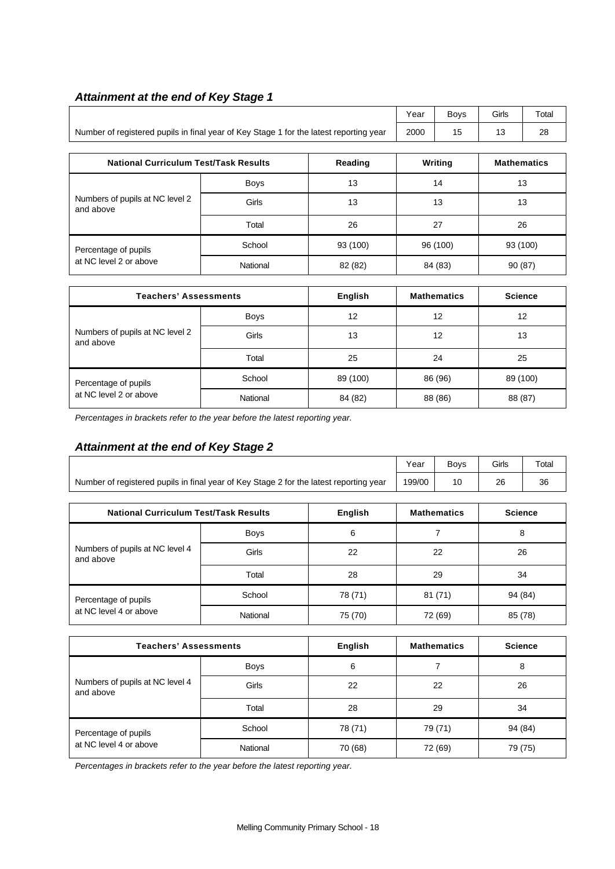# *Attainment at the end of Key Stage 1*

|                                                                                        | Year | Bovs | Girls | Total |
|----------------------------------------------------------------------------------------|------|------|-------|-------|
| Number of registered pupils in final year of Key Stage 1 for the latest reporting year | 2000 | 15   |       | 28    |

| <b>National Curriculum Test/Task Results</b> |             | Reading  | Writing  | <b>Mathematics</b> |
|----------------------------------------------|-------------|----------|----------|--------------------|
|                                              | <b>Boys</b> | 13       | 14       | 13                 |
| Numbers of pupils at NC level 2<br>and above | Girls       | 13       | 13       | 13                 |
|                                              | Total       | 26       | 27       | 26                 |
| Percentage of pupils                         | School      | 93 (100) | 96 (100) | 93 (100)           |
| at NC level 2 or above                       | National    | 82 (82)  | 84 (83)  | 90(87)             |

| <b>Teachers' Assessments</b>                 |             | English  | <b>Mathematics</b> | <b>Science</b> |
|----------------------------------------------|-------------|----------|--------------------|----------------|
| Numbers of pupils at NC level 2<br>and above | <b>Boys</b> | 12       | 12                 | 12             |
|                                              | Girls       | 13       | 12                 | 13             |
|                                              | Total       | 25       | 24                 | 25             |
| Percentage of pupils                         | School      | 89 (100) | 86 (96)            | 89 (100)       |
| at NC level 2 or above                       | National    | 84 (82)  | 88 (86)            | 88 (87)        |

*Percentages in brackets refer to the year before the latest reporting year.*

# *Attainment at the end of Key Stage 2*

|                                                                                        |             |         | Year   | <b>Boys</b>        | Girls          | Total |
|----------------------------------------------------------------------------------------|-------------|---------|--------|--------------------|----------------|-------|
| Number of registered pupils in final year of Key Stage 2 for the latest reporting year | 199/00      | 10      | 26     | 36                 |                |       |
|                                                                                        |             |         |        |                    |                |       |
| <b>National Curriculum Test/Task Results</b><br><b>English</b>                         |             |         |        | <b>Mathematics</b> | <b>Science</b> |       |
|                                                                                        | <b>Boys</b> | 6       |        |                    | 8              |       |
| Numbers of pupils at NC level 4<br>and above                                           | Girls       | 22      | 22     |                    | 26             |       |
|                                                                                        | Total       | 28      | 29     |                    | 34             |       |
| Percentage of pupils                                                                   | School      | 78 (71) | 81(71) |                    | 94 (84)        |       |
| at NC level 4 or above                                                                 | National    | 75 (70) |        | 72 (69)            | 85 (78)        |       |

| <b>Teachers' Assessments</b>                 |             | English | <b>Mathematics</b> | <b>Science</b> |
|----------------------------------------------|-------------|---------|--------------------|----------------|
| Numbers of pupils at NC level 4<br>and above | <b>Boys</b> | 6       |                    | 8              |
|                                              | Girls       | 22      | 22                 | 26             |
|                                              | Total       | 28      | 29                 | 34             |
| Percentage of pupils                         | School      | 78 (71) | 79 (71)            | 94 (84)        |
| at NC level 4 or above                       | National    | 70 (68) | 72 (69)            | 79 (75)        |

*Percentages in brackets refer to the year before the latest reporting year.*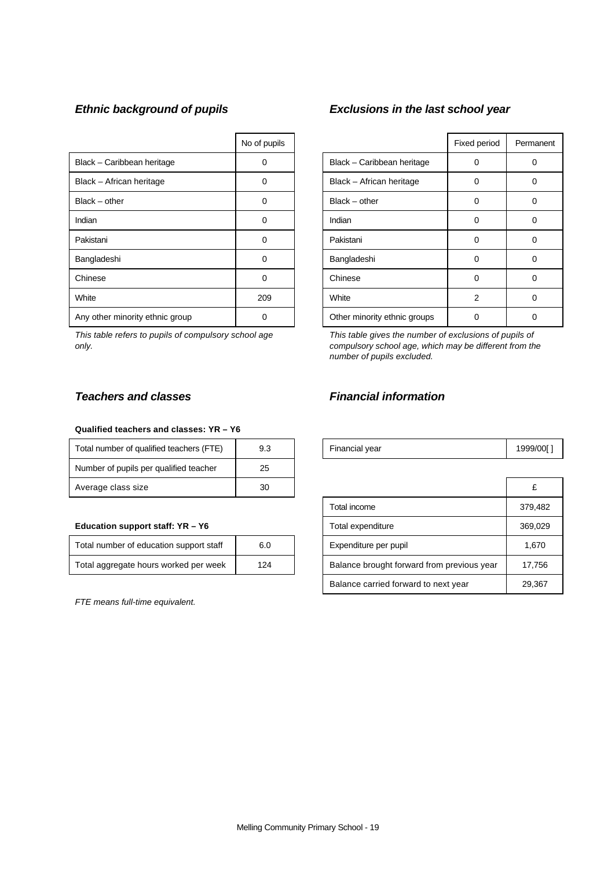|                                 | No of pupils |                              | Fixed period | Perma |
|---------------------------------|--------------|------------------------------|--------------|-------|
| Black - Caribbean heritage      | 0            | Black - Caribbean heritage   | 0            | 0     |
| Black - African heritage        | 0            | Black - African heritage     | 0            | 0     |
| $Black - other$                 | 0            | $Black - other$              | 0            | 0     |
| Indian                          | 0            | Indian                       | 0            | 0     |
| Pakistani                       | 0            | Pakistani                    | 0            | 0     |
| Bangladeshi                     | 0            | Bangladeshi                  | 0            | 0     |
| Chinese                         | 0            | Chinese                      | 0            | 0     |
| White                           | 209          | White                        | 2            | 0     |
| Any other minority ethnic group |              | Other minority ethnic groups | 0            | 0     |

*This table refers to pupils of compulsory school age only.*

# *Ethnic background of pupils Exclusions in the last school year*

| No of pupils |                              | Fixed period   | Permanent |
|--------------|------------------------------|----------------|-----------|
| ი            | Black - Caribbean heritage   | Ω              |           |
| n            | Black - African heritage     | 0              | O         |
| n            | $Black - other$              | 0              | O         |
| ი            | Indian                       | 0              |           |
| በ            | Pakistani                    | 0              |           |
| ი            | Bangladeshi                  | 0              | U         |
| O            | Chinese                      | 0              | 0         |
| 209          | White                        | $\overline{2}$ | Ω         |
| ი            | Other minority ethnic groups |                |           |

*This table gives the number of exclusions of pupils of compulsory school age, which may be different from the number of pupils excluded.*

#### **Qualified teachers and classes: YR – Y6**

| Total number of qualified teachers (FTE) | 9.3 | Financial year | 1999/ |
|------------------------------------------|-----|----------------|-------|
| Number of pupils per qualified teacher   | 25  |                |       |
| Average class size                       | 30  |                |       |

#### **Education support staff: YR - Y6**

| Total number of education support staff | 6.0 |
|-----------------------------------------|-----|
| Total aggregate hours worked per week   | 124 |

*FTE means full-time equivalent.*

# *Teachers and classes Financial information*

| Total number of qualified teachers (FTE) |  | Financial vear | 999/001 |
|------------------------------------------|--|----------------|---------|
|------------------------------------------|--|----------------|---------|

| Average class size                      | 30  |                                            | £       |
|-----------------------------------------|-----|--------------------------------------------|---------|
|                                         |     | Total income                               | 379,482 |
| Education support staff: YR - Y6        |     | Total expenditure                          | 369,029 |
| Total number of education support staff | 6.0 | Expenditure per pupil                      | 1,670   |
| Total aggregate hours worked per week   | 124 | Balance brought forward from previous year | 17.756  |
|                                         |     | Balance carried forward to next year       | 29,367  |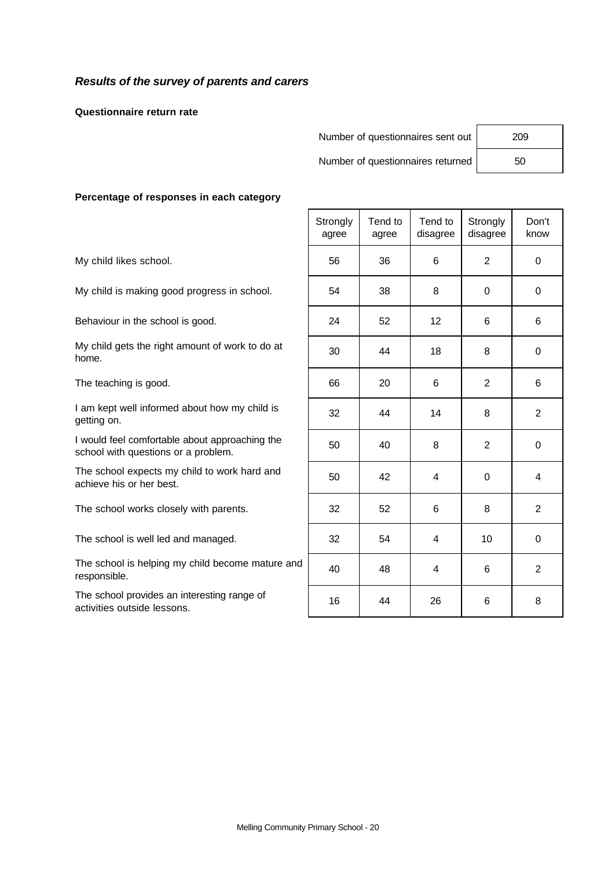# *Results of the survey of parents and carers*

**Questionnaire return rate**

Number of questionnaires sent out | 209

Number of questionnaires returned | 50

#### **Percentage of responses in each category**

|                                                                                       | Strongly<br>agree | Tend to<br>agree | Tend to<br>disagree | Strongly<br>disagree | Don't<br>know  |
|---------------------------------------------------------------------------------------|-------------------|------------------|---------------------|----------------------|----------------|
| My child likes school.                                                                | 56                | 36               | 6                   | $\overline{2}$       | $\mathbf 0$    |
| My child is making good progress in school.                                           | 54                | 38               | 8                   | $\Omega$             | 0              |
| Behaviour in the school is good.                                                      | 24                | 52               | 12                  | 6                    | 6              |
| My child gets the right amount of work to do at<br>home.                              | 30                | 44               | 18                  | 8                    | $\mathbf 0$    |
| The teaching is good.                                                                 | 66                | 20               | 6                   | 2                    | 6              |
| I am kept well informed about how my child is<br>getting on.                          | 32                | 44               | 14                  | 8                    | $\overline{2}$ |
| I would feel comfortable about approaching the<br>school with questions or a problem. | 50                | 40               | 8                   | 2                    | $\mathbf 0$    |
| The school expects my child to work hard and<br>achieve his or her best.              | 50                | 42               | 4                   | $\Omega$             | 4              |
| The school works closely with parents.                                                | 32                | 52               | 6                   | 8                    | 2              |
| The school is well led and managed.                                                   | 32                | 54               | 4                   | 10                   | 0              |
| The school is helping my child become mature and<br>responsible.                      | 40                | 48               | 4                   | 6                    | $\overline{2}$ |
| The school provides an interesting range of<br>activities outside lessons.            | 16                | 44               | 26                  | 6                    | 8              |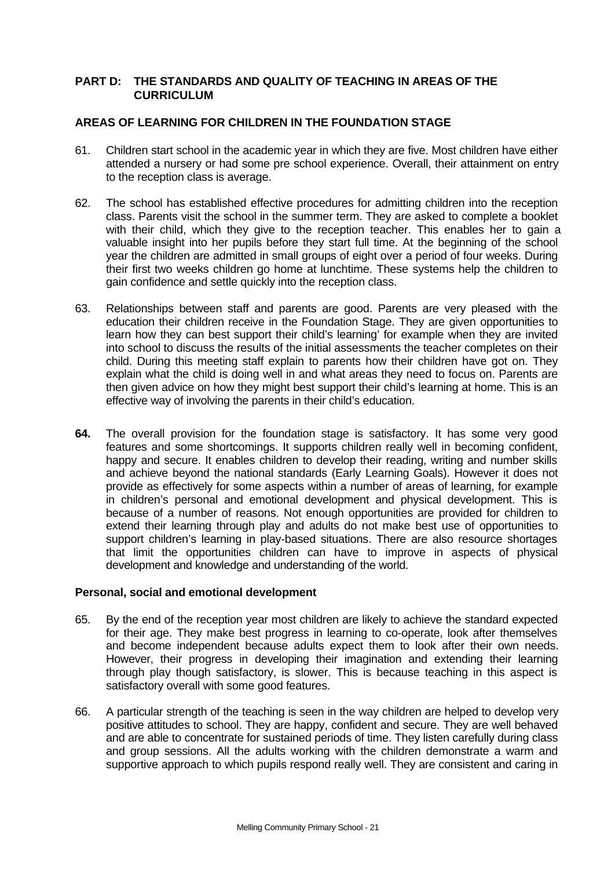# **PART D: THE STANDARDS AND QUALITY OF TEACHING IN AREAS OF THE CURRICULUM**

# **AREAS OF LEARNING FOR CHILDREN IN THE FOUNDATION STAGE**

- 61. Children start school in the academic year in which they are five. Most children have either attended a nursery or had some pre school experience. Overall, their attainment on entry to the reception class is average.
- 62. The school has established effective procedures for admitting children into the reception class. Parents visit the school in the summer term. They are asked to complete a booklet with their child, which they give to the reception teacher. This enables her to gain a valuable insight into her pupils before they start full time. At the beginning of the school year the children are admitted in small groups of eight over a period of four weeks. During their first two weeks children go home at lunchtime. These systems help the children to gain confidence and settle quickly into the reception class.
- 63. Relationships between staff and parents are good. Parents are very pleased with the education their children receive in the Foundation Stage. They are given opportunities to learn how they can best support their child's learning' for example when they are invited into school to discuss the results of the initial assessments the teacher completes on their child. During this meeting staff explain to parents how their children have got on. They explain what the child is doing well in and what areas they need to focus on. Parents are then given advice on how they might best support their child's learning at home. This is an effective way of involving the parents in their child's education.
- **64.** The overall provision for the foundation stage is satisfactory. It has some very good features and some shortcomings. It supports children really well in becoming confident, happy and secure. It enables children to develop their reading, writing and number skills and achieve beyond the national standards (Early Learning Goals). However it does not provide as effectively for some aspects within a number of areas of learning, for example in children's personal and emotional development and physical development. This is because of a number of reasons. Not enough opportunities are provided for children to extend their learning through play and adults do not make best use of opportunities to support children's learning in play-based situations. There are also resource shortages that limit the opportunities children can have to improve in aspects of physical development and knowledge and understanding of the world.

# **Personal, social and emotional development**

- 65. By the end of the reception year most children are likely to achieve the standard expected for their age. They make best progress in learning to co-operate, look after themselves and become independent because adults expect them to look after their own needs. However, their progress in developing their imagination and extending their learning through play though satisfactory, is slower. This is because teaching in this aspect is satisfactory overall with some good features.
- 66. A particular strength of the teaching is seen in the way children are helped to develop very positive attitudes to school. They are happy, confident and secure. They are well behaved and are able to concentrate for sustained periods of time. They listen carefully during class and group sessions. All the adults working with the children demonstrate a warm and supportive approach to which pupils respond really well. They are consistent and caring in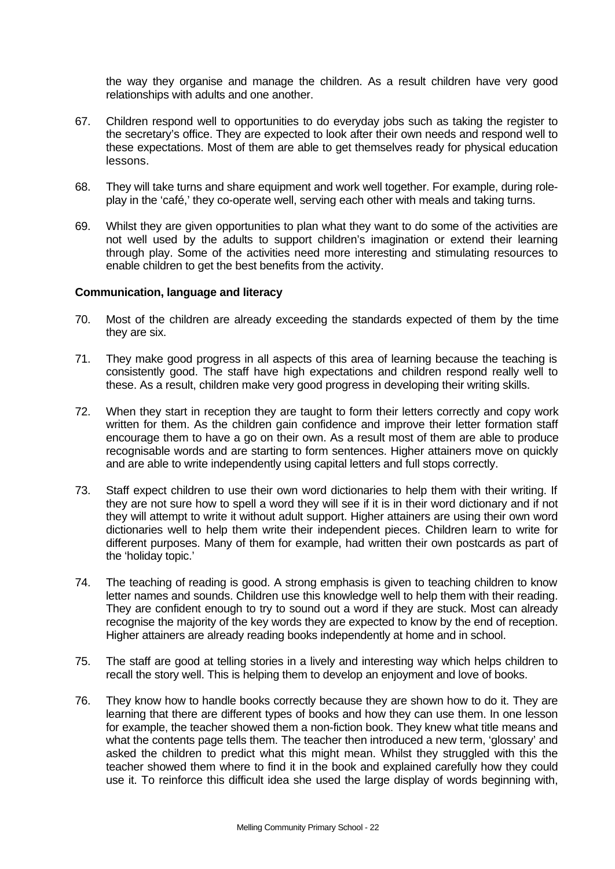the way they organise and manage the children. As a result children have very good relationships with adults and one another.

- 67. Children respond well to opportunities to do everyday jobs such as taking the register to the secretary's office. They are expected to look after their own needs and respond well to these expectations. Most of them are able to get themselves ready for physical education lessons.
- 68. They will take turns and share equipment and work well together. For example, during roleplay in the 'café,' they co-operate well, serving each other with meals and taking turns.
- 69. Whilst they are given opportunities to plan what they want to do some of the activities are not well used by the adults to support children's imagination or extend their learning through play. Some of the activities need more interesting and stimulating resources to enable children to get the best benefits from the activity.

### **Communication, language and literacy**

- 70. Most of the children are already exceeding the standards expected of them by the time they are six.
- 71. They make good progress in all aspects of this area of learning because the teaching is consistently good. The staff have high expectations and children respond really well to these. As a result, children make very good progress in developing their writing skills.
- 72. When they start in reception they are taught to form their letters correctly and copy work written for them. As the children gain confidence and improve their letter formation staff encourage them to have a go on their own. As a result most of them are able to produce recognisable words and are starting to form sentences. Higher attainers move on quickly and are able to write independently using capital letters and full stops correctly.
- 73. Staff expect children to use their own word dictionaries to help them with their writing. If they are not sure how to spell a word they will see if it is in their word dictionary and if not they will attempt to write it without adult support. Higher attainers are using their own word dictionaries well to help them write their independent pieces. Children learn to write for different purposes. Many of them for example, had written their own postcards as part of the 'holiday topic.'
- 74. The teaching of reading is good. A strong emphasis is given to teaching children to know letter names and sounds. Children use this knowledge well to help them with their reading. They are confident enough to try to sound out a word if they are stuck. Most can already recognise the majority of the key words they are expected to know by the end of reception. Higher attainers are already reading books independently at home and in school.
- 75. The staff are good at telling stories in a lively and interesting way which helps children to recall the story well. This is helping them to develop an enjoyment and love of books.
- 76. They know how to handle books correctly because they are shown how to do it. They are learning that there are different types of books and how they can use them. In one lesson for example, the teacher showed them a non-fiction book. They knew what title means and what the contents page tells them. The teacher then introduced a new term, 'glossary' and asked the children to predict what this might mean. Whilst they struggled with this the teacher showed them where to find it in the book and explained carefully how they could use it. To reinforce this difficult idea she used the large display of words beginning with,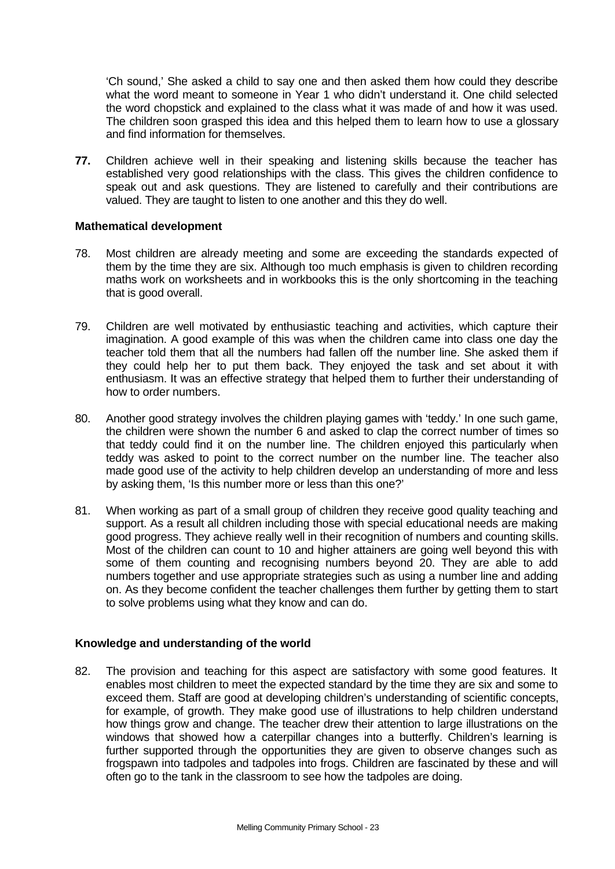'Ch sound,' She asked a child to say one and then asked them how could they describe what the word meant to someone in Year 1 who didn't understand it. One child selected the word chopstick and explained to the class what it was made of and how it was used. The children soon grasped this idea and this helped them to learn how to use a glossary and find information for themselves.

**77.** Children achieve well in their speaking and listening skills because the teacher has established very good relationships with the class. This gives the children confidence to speak out and ask questions. They are listened to carefully and their contributions are valued. They are taught to listen to one another and this they do well.

## **Mathematical development**

- 78. Most children are already meeting and some are exceeding the standards expected of them by the time they are six. Although too much emphasis is given to children recording maths work on worksheets and in workbooks this is the only shortcoming in the teaching that is good overall.
- 79. Children are well motivated by enthusiastic teaching and activities, which capture their imagination. A good example of this was when the children came into class one day the teacher told them that all the numbers had fallen off the number line. She asked them if they could help her to put them back. They enjoyed the task and set about it with enthusiasm. It was an effective strategy that helped them to further their understanding of how to order numbers.
- 80. Another good strategy involves the children playing games with 'teddy.' In one such game, the children were shown the number 6 and asked to clap the correct number of times so that teddy could find it on the number line. The children enjoyed this particularly when teddy was asked to point to the correct number on the number line. The teacher also made good use of the activity to help children develop an understanding of more and less by asking them, 'Is this number more or less than this one?'
- 81. When working as part of a small group of children they receive good quality teaching and support. As a result all children including those with special educational needs are making good progress. They achieve really well in their recognition of numbers and counting skills. Most of the children can count to 10 and higher attainers are going well beyond this with some of them counting and recognising numbers beyond 20. They are able to add numbers together and use appropriate strategies such as using a number line and adding on. As they become confident the teacher challenges them further by getting them to start to solve problems using what they know and can do.

# **Knowledge and understanding of the world**

82. The provision and teaching for this aspect are satisfactory with some good features. It enables most children to meet the expected standard by the time they are six and some to exceed them. Staff are good at developing children's understanding of scientific concepts, for example, of growth. They make good use of illustrations to help children understand how things grow and change. The teacher drew their attention to large illustrations on the windows that showed how a caterpillar changes into a butterfly. Children's learning is further supported through the opportunities they are given to observe changes such as frogspawn into tadpoles and tadpoles into frogs. Children are fascinated by these and will often go to the tank in the classroom to see how the tadpoles are doing.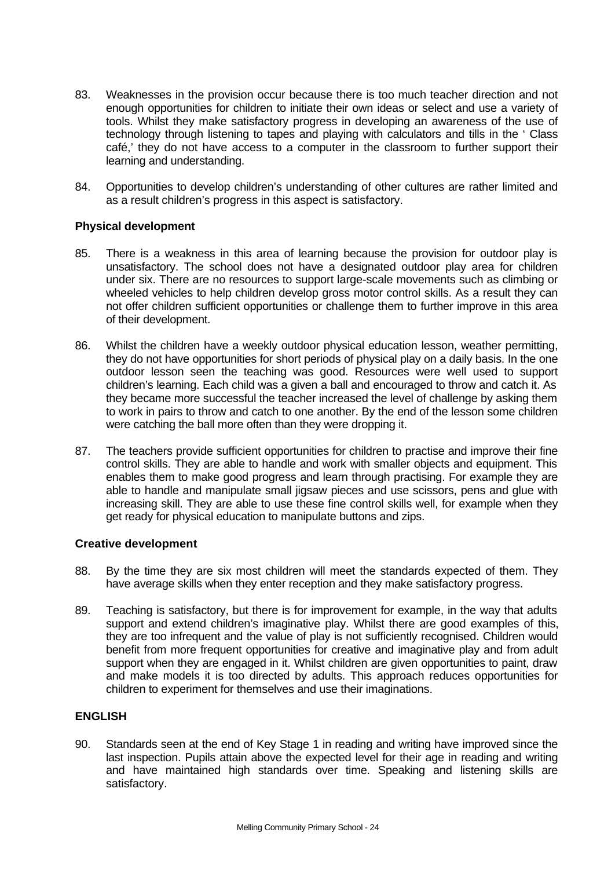- 83. Weaknesses in the provision occur because there is too much teacher direction and not enough opportunities for children to initiate their own ideas or select and use a variety of tools. Whilst they make satisfactory progress in developing an awareness of the use of technology through listening to tapes and playing with calculators and tills in the ' Class café,' they do not have access to a computer in the classroom to further support their learning and understanding.
- 84. Opportunities to develop children's understanding of other cultures are rather limited and as a result children's progress in this aspect is satisfactory.

# **Physical development**

- 85. There is a weakness in this area of learning because the provision for outdoor play is unsatisfactory. The school does not have a designated outdoor play area for children under six. There are no resources to support large-scale movements such as climbing or wheeled vehicles to help children develop gross motor control skills. As a result they can not offer children sufficient opportunities or challenge them to further improve in this area of their development.
- 86. Whilst the children have a weekly outdoor physical education lesson, weather permitting, they do not have opportunities for short periods of physical play on a daily basis. In the one outdoor lesson seen the teaching was good. Resources were well used to support children's learning. Each child was a given a ball and encouraged to throw and catch it. As they became more successful the teacher increased the level of challenge by asking them to work in pairs to throw and catch to one another. By the end of the lesson some children were catching the ball more often than they were dropping it.
- 87. The teachers provide sufficient opportunities for children to practise and improve their fine control skills. They are able to handle and work with smaller objects and equipment. This enables them to make good progress and learn through practising. For example they are able to handle and manipulate small jigsaw pieces and use scissors, pens and glue with increasing skill. They are able to use these fine control skills well, for example when they get ready for physical education to manipulate buttons and zips.

### **Creative development**

- 88. By the time they are six most children will meet the standards expected of them. They have average skills when they enter reception and they make satisfactory progress.
- 89. Teaching is satisfactory, but there is for improvement for example, in the way that adults support and extend children's imaginative play. Whilst there are good examples of this, they are too infrequent and the value of play is not sufficiently recognised. Children would benefit from more frequent opportunities for creative and imaginative play and from adult support when they are engaged in it. Whilst children are given opportunities to paint, draw and make models it is too directed by adults. This approach reduces opportunities for children to experiment for themselves and use their imaginations.

# **ENGLISH**

90. Standards seen at the end of Key Stage 1 in reading and writing have improved since the last inspection. Pupils attain above the expected level for their age in reading and writing and have maintained high standards over time. Speaking and listening skills are satisfactory.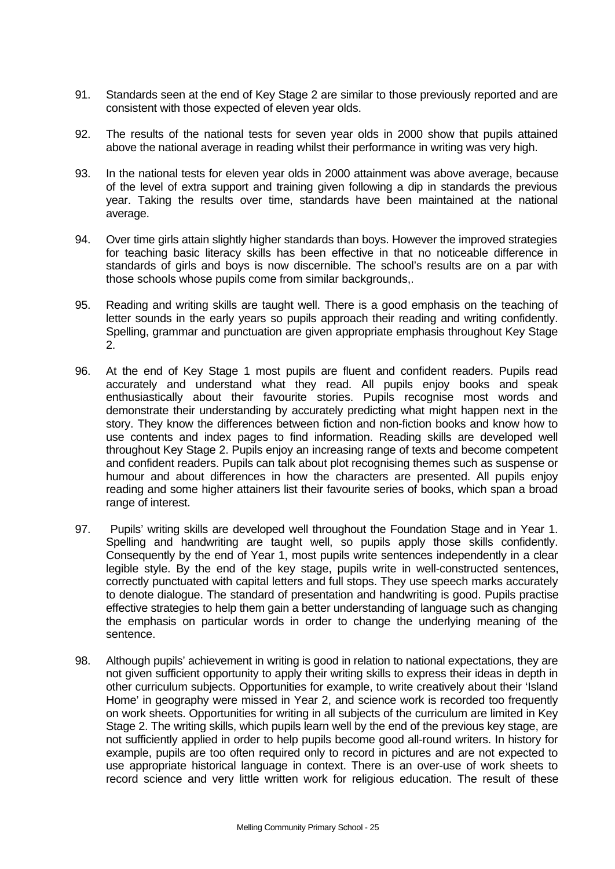- 91. Standards seen at the end of Key Stage 2 are similar to those previously reported and are consistent with those expected of eleven year olds.
- 92. The results of the national tests for seven year olds in 2000 show that pupils attained above the national average in reading whilst their performance in writing was very high.
- 93. In the national tests for eleven year olds in 2000 attainment was above average, because of the level of extra support and training given following a dip in standards the previous year. Taking the results over time, standards have been maintained at the national average.
- 94. Over time girls attain slightly higher standards than boys. However the improved strategies for teaching basic literacy skills has been effective in that no noticeable difference in standards of girls and boys is now discernible. The school's results are on a par with those schools whose pupils come from similar backgrounds,.
- 95. Reading and writing skills are taught well. There is a good emphasis on the teaching of letter sounds in the early years so pupils approach their reading and writing confidently. Spelling, grammar and punctuation are given appropriate emphasis throughout Key Stage 2.
- 96. At the end of Key Stage 1 most pupils are fluent and confident readers. Pupils read accurately and understand what they read. All pupils enjoy books and speak enthusiastically about their favourite stories. Pupils recognise most words and demonstrate their understanding by accurately predicting what might happen next in the story. They know the differences between fiction and non-fiction books and know how to use contents and index pages to find information. Reading skills are developed well throughout Key Stage 2. Pupils enjoy an increasing range of texts and become competent and confident readers. Pupils can talk about plot recognising themes such as suspense or humour and about differences in how the characters are presented. All pupils enjoy reading and some higher attainers list their favourite series of books, which span a broad range of interest.
- 97. Pupils' writing skills are developed well throughout the Foundation Stage and in Year 1. Spelling and handwriting are taught well, so pupils apply those skills confidently. Consequently by the end of Year 1, most pupils write sentences independently in a clear legible style. By the end of the key stage, pupils write in well-constructed sentences, correctly punctuated with capital letters and full stops. They use speech marks accurately to denote dialogue. The standard of presentation and handwriting is good. Pupils practise effective strategies to help them gain a better understanding of language such as changing the emphasis on particular words in order to change the underlying meaning of the sentence.
- 98. Although pupils' achievement in writing is good in relation to national expectations, they are not given sufficient opportunity to apply their writing skills to express their ideas in depth in other curriculum subjects. Opportunities for example, to write creatively about their 'Island Home' in geography were missed in Year 2, and science work is recorded too frequently on work sheets. Opportunities for writing in all subjects of the curriculum are limited in Key Stage 2. The writing skills, which pupils learn well by the end of the previous key stage, are not sufficiently applied in order to help pupils become good all-round writers. In history for example, pupils are too often required only to record in pictures and are not expected to use appropriate historical language in context. There is an over-use of work sheets to record science and very little written work for religious education. The result of these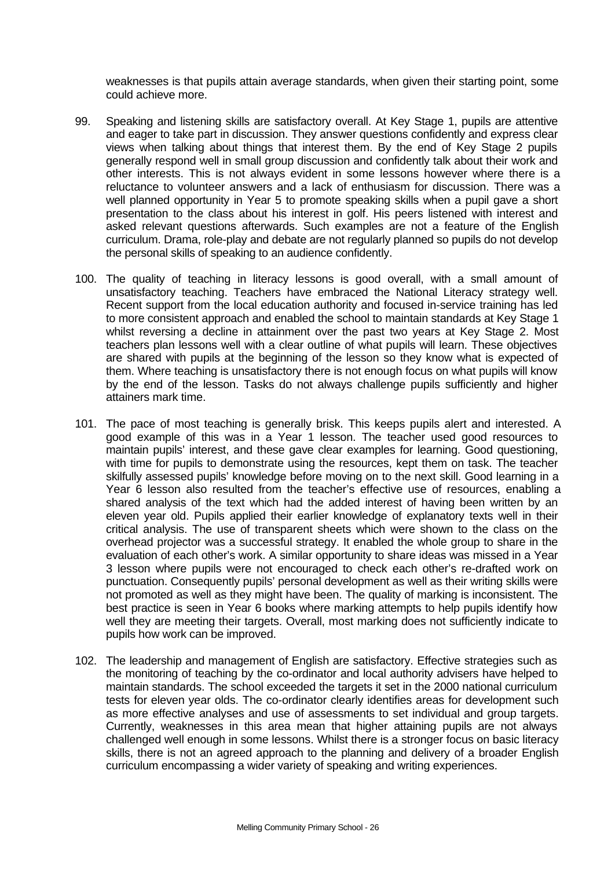weaknesses is that pupils attain average standards, when given their starting point, some could achieve more.

- 99. Speaking and listening skills are satisfactory overall. At Key Stage 1, pupils are attentive and eager to take part in discussion. They answer questions confidently and express clear views when talking about things that interest them. By the end of Key Stage 2 pupils generally respond well in small group discussion and confidently talk about their work and other interests. This is not always evident in some lessons however where there is a reluctance to volunteer answers and a lack of enthusiasm for discussion. There was a well planned opportunity in Year 5 to promote speaking skills when a pupil gave a short presentation to the class about his interest in golf. His peers listened with interest and asked relevant questions afterwards. Such examples are not a feature of the English curriculum. Drama, role-play and debate are not regularly planned so pupils do not develop the personal skills of speaking to an audience confidently.
- 100. The quality of teaching in literacy lessons is good overall, with a small amount of unsatisfactory teaching. Teachers have embraced the National Literacy strategy well. Recent support from the local education authority and focused in-service training has led to more consistent approach and enabled the school to maintain standards at Key Stage 1 whilst reversing a decline in attainment over the past two years at Key Stage 2. Most teachers plan lessons well with a clear outline of what pupils will learn. These objectives are shared with pupils at the beginning of the lesson so they know what is expected of them. Where teaching is unsatisfactory there is not enough focus on what pupils will know by the end of the lesson. Tasks do not always challenge pupils sufficiently and higher attainers mark time.
- 101. The pace of most teaching is generally brisk. This keeps pupils alert and interested. A good example of this was in a Year 1 lesson. The teacher used good resources to maintain pupils' interest, and these gave clear examples for learning. Good questioning, with time for pupils to demonstrate using the resources, kept them on task. The teacher skilfully assessed pupils' knowledge before moving on to the next skill. Good learning in a Year 6 lesson also resulted from the teacher's effective use of resources, enabling a shared analysis of the text which had the added interest of having been written by an eleven year old. Pupils applied their earlier knowledge of explanatory texts well in their critical analysis. The use of transparent sheets which were shown to the class on the overhead projector was a successful strategy. It enabled the whole group to share in the evaluation of each other's work. A similar opportunity to share ideas was missed in a Year 3 lesson where pupils were not encouraged to check each other's re-drafted work on punctuation. Consequently pupils' personal development as well as their writing skills were not promoted as well as they might have been. The quality of marking is inconsistent. The best practice is seen in Year 6 books where marking attempts to help pupils identify how well they are meeting their targets. Overall, most marking does not sufficiently indicate to pupils how work can be improved.
- 102. The leadership and management of English are satisfactory. Effective strategies such as the monitoring of teaching by the co-ordinator and local authority advisers have helped to maintain standards. The school exceeded the targets it set in the 2000 national curriculum tests for eleven year olds. The co-ordinator clearly identifies areas for development such as more effective analyses and use of assessments to set individual and group targets. Currently, weaknesses in this area mean that higher attaining pupils are not always challenged well enough in some lessons. Whilst there is a stronger focus on basic literacy skills, there is not an agreed approach to the planning and delivery of a broader English curriculum encompassing a wider variety of speaking and writing experiences.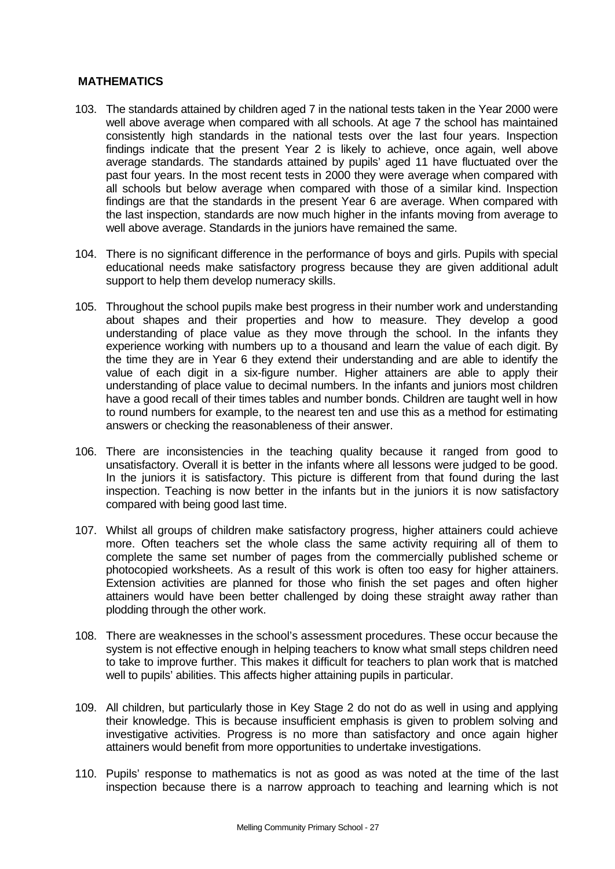# **MATHEMATICS**

- 103. The standards attained by children aged 7 in the national tests taken in the Year 2000 were well above average when compared with all schools. At age 7 the school has maintained consistently high standards in the national tests over the last four years. Inspection findings indicate that the present Year 2 is likely to achieve, once again, well above average standards. The standards attained by pupils' aged 11 have fluctuated over the past four years. In the most recent tests in 2000 they were average when compared with all schools but below average when compared with those of a similar kind. Inspection findings are that the standards in the present Year 6 are average. When compared with the last inspection, standards are now much higher in the infants moving from average to well above average. Standards in the juniors have remained the same.
- 104. There is no significant difference in the performance of boys and girls. Pupils with special educational needs make satisfactory progress because they are given additional adult support to help them develop numeracy skills.
- 105. Throughout the school pupils make best progress in their number work and understanding about shapes and their properties and how to measure. They develop a good understanding of place value as they move through the school. In the infants they experience working with numbers up to a thousand and learn the value of each digit. By the time they are in Year 6 they extend their understanding and are able to identify the value of each digit in a six-figure number. Higher attainers are able to apply their understanding of place value to decimal numbers. In the infants and juniors most children have a good recall of their times tables and number bonds. Children are taught well in how to round numbers for example, to the nearest ten and use this as a method for estimating answers or checking the reasonableness of their answer.
- 106. There are inconsistencies in the teaching quality because it ranged from good to unsatisfactory. Overall it is better in the infants where all lessons were judged to be good. In the juniors it is satisfactory. This picture is different from that found during the last inspection. Teaching is now better in the infants but in the juniors it is now satisfactory compared with being good last time.
- 107. Whilst all groups of children make satisfactory progress, higher attainers could achieve more. Often teachers set the whole class the same activity requiring all of them to complete the same set number of pages from the commercially published scheme or photocopied worksheets. As a result of this work is often too easy for higher attainers. Extension activities are planned for those who finish the set pages and often higher attainers would have been better challenged by doing these straight away rather than plodding through the other work.
- 108. There are weaknesses in the school's assessment procedures. These occur because the system is not effective enough in helping teachers to know what small steps children need to take to improve further. This makes it difficult for teachers to plan work that is matched well to pupils' abilities. This affects higher attaining pupils in particular.
- 109. All children, but particularly those in Key Stage 2 do not do as well in using and applying their knowledge. This is because insufficient emphasis is given to problem solving and investigative activities. Progress is no more than satisfactory and once again higher attainers would benefit from more opportunities to undertake investigations.
- 110. Pupils' response to mathematics is not as good as was noted at the time of the last inspection because there is a narrow approach to teaching and learning which is not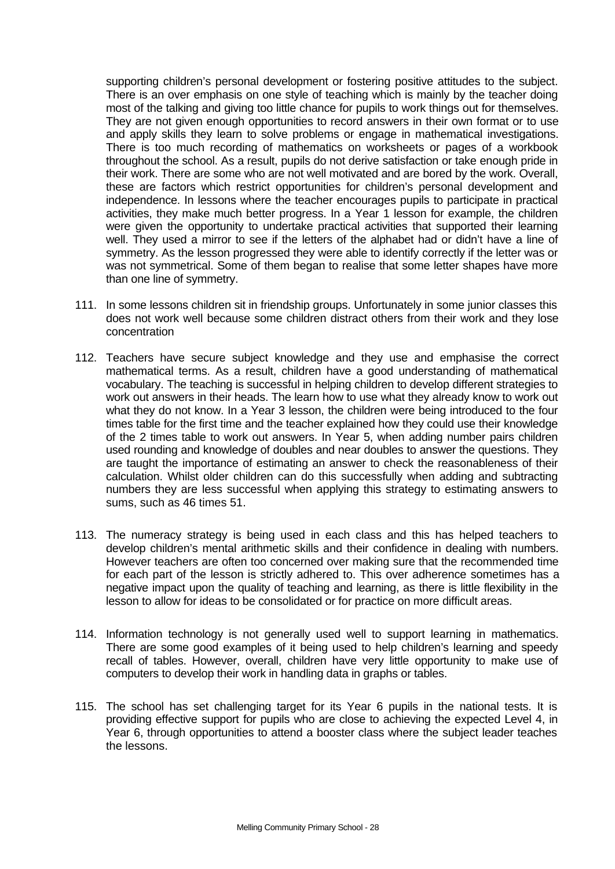supporting children's personal development or fostering positive attitudes to the subject. There is an over emphasis on one style of teaching which is mainly by the teacher doing most of the talking and giving too little chance for pupils to work things out for themselves. They are not given enough opportunities to record answers in their own format or to use and apply skills they learn to solve problems or engage in mathematical investigations. There is too much recording of mathematics on worksheets or pages of a workbook throughout the school. As a result, pupils do not derive satisfaction or take enough pride in their work. There are some who are not well motivated and are bored by the work. Overall, these are factors which restrict opportunities for children's personal development and independence. In lessons where the teacher encourages pupils to participate in practical activities, they make much better progress. In a Year 1 lesson for example, the children were given the opportunity to undertake practical activities that supported their learning well. They used a mirror to see if the letters of the alphabet had or didn't have a line of symmetry. As the lesson progressed they were able to identify correctly if the letter was or was not symmetrical. Some of them began to realise that some letter shapes have more than one line of symmetry.

- 111. In some lessons children sit in friendship groups. Unfortunately in some junior classes this does not work well because some children distract others from their work and they lose concentration
- 112. Teachers have secure subject knowledge and they use and emphasise the correct mathematical terms. As a result, children have a good understanding of mathematical vocabulary. The teaching is successful in helping children to develop different strategies to work out answers in their heads. The learn how to use what they already know to work out what they do not know. In a Year 3 lesson, the children were being introduced to the four times table for the first time and the teacher explained how they could use their knowledge of the 2 times table to work out answers. In Year 5, when adding number pairs children used rounding and knowledge of doubles and near doubles to answer the questions. They are taught the importance of estimating an answer to check the reasonableness of their calculation. Whilst older children can do this successfully when adding and subtracting numbers they are less successful when applying this strategy to estimating answers to sums, such as 46 times 51.
- 113. The numeracy strategy is being used in each class and this has helped teachers to develop children's mental arithmetic skills and their confidence in dealing with numbers. However teachers are often too concerned over making sure that the recommended time for each part of the lesson is strictly adhered to. This over adherence sometimes has a negative impact upon the quality of teaching and learning, as there is little flexibility in the lesson to allow for ideas to be consolidated or for practice on more difficult areas.
- 114. Information technology is not generally used well to support learning in mathematics. There are some good examples of it being used to help children's learning and speedy recall of tables. However, overall, children have very little opportunity to make use of computers to develop their work in handling data in graphs or tables.
- 115. The school has set challenging target for its Year 6 pupils in the national tests. It is providing effective support for pupils who are close to achieving the expected Level 4, in Year 6, through opportunities to attend a booster class where the subject leader teaches the lessons.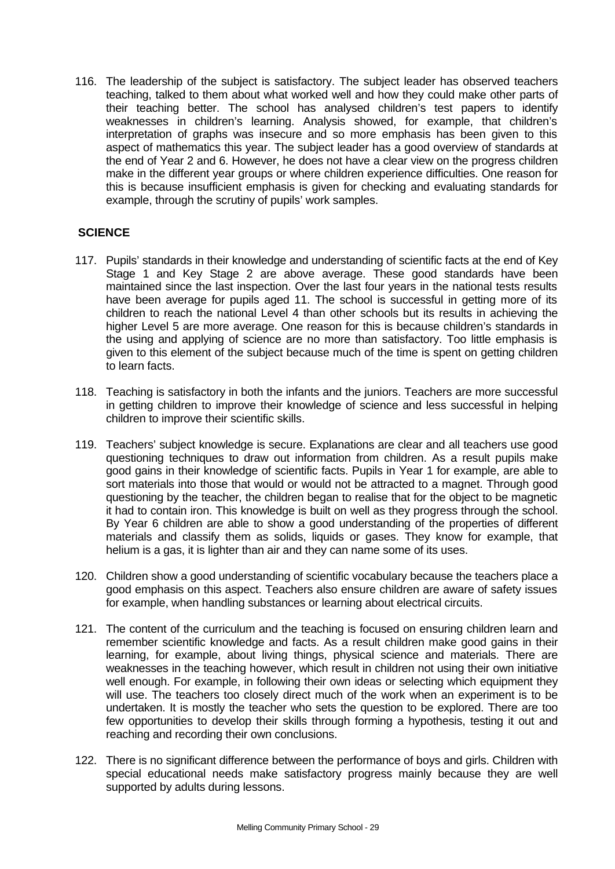116. The leadership of the subject is satisfactory. The subject leader has observed teachers teaching, talked to them about what worked well and how they could make other parts of their teaching better. The school has analysed children's test papers to identify weaknesses in children's learning. Analysis showed, for example, that children's interpretation of graphs was insecure and so more emphasis has been given to this aspect of mathematics this year. The subject leader has a good overview of standards at the end of Year 2 and 6. However, he does not have a clear view on the progress children make in the different year groups or where children experience difficulties. One reason for this is because insufficient emphasis is given for checking and evaluating standards for example, through the scrutiny of pupils' work samples.

# **SCIENCE**

- 117. Pupils' standards in their knowledge and understanding of scientific facts at the end of Key Stage 1 and Key Stage 2 are above average. These good standards have been maintained since the last inspection. Over the last four years in the national tests results have been average for pupils aged 11. The school is successful in getting more of its children to reach the national Level 4 than other schools but its results in achieving the higher Level 5 are more average. One reason for this is because children's standards in the using and applying of science are no more than satisfactory. Too little emphasis is given to this element of the subject because much of the time is spent on getting children to learn facts.
- 118. Teaching is satisfactory in both the infants and the juniors. Teachers are more successful in getting children to improve their knowledge of science and less successful in helping children to improve their scientific skills.
- 119. Teachers' subject knowledge is secure. Explanations are clear and all teachers use good questioning techniques to draw out information from children. As a result pupils make good gains in their knowledge of scientific facts. Pupils in Year 1 for example, are able to sort materials into those that would or would not be attracted to a magnet. Through good questioning by the teacher, the children began to realise that for the object to be magnetic it had to contain iron. This knowledge is built on well as they progress through the school. By Year 6 children are able to show a good understanding of the properties of different materials and classify them as solids, liquids or gases. They know for example, that helium is a gas, it is lighter than air and they can name some of its uses.
- 120. Children show a good understanding of scientific vocabulary because the teachers place a good emphasis on this aspect. Teachers also ensure children are aware of safety issues for example, when handling substances or learning about electrical circuits.
- 121. The content of the curriculum and the teaching is focused on ensuring children learn and remember scientific knowledge and facts. As a result children make good gains in their learning, for example, about living things, physical science and materials. There are weaknesses in the teaching however, which result in children not using their own initiative well enough. For example, in following their own ideas or selecting which equipment they will use. The teachers too closely direct much of the work when an experiment is to be undertaken. It is mostly the teacher who sets the question to be explored. There are too few opportunities to develop their skills through forming a hypothesis, testing it out and reaching and recording their own conclusions.
- 122. There is no significant difference between the performance of boys and girls. Children with special educational needs make satisfactory progress mainly because they are well supported by adults during lessons.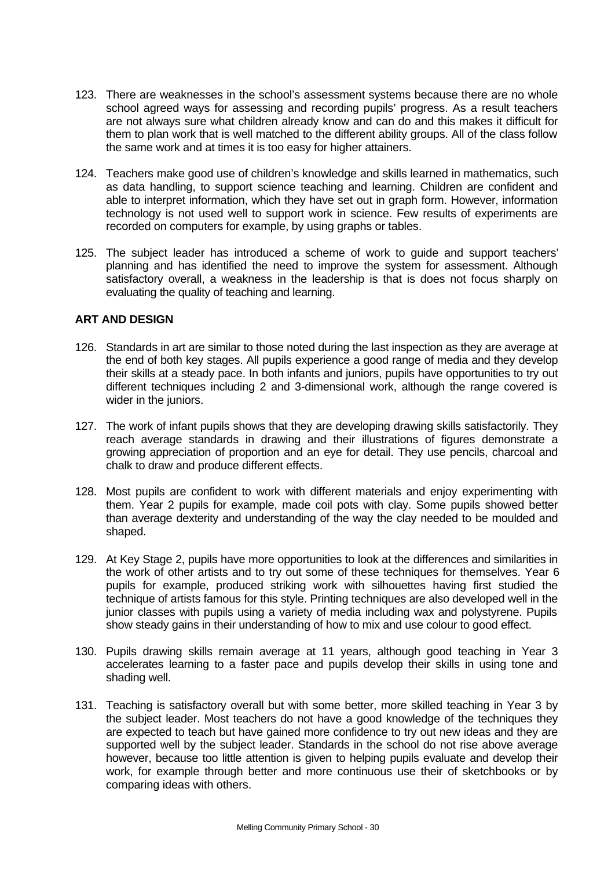- 123. There are weaknesses in the school's assessment systems because there are no whole school agreed ways for assessing and recording pupils' progress. As a result teachers are not always sure what children already know and can do and this makes it difficult for them to plan work that is well matched to the different ability groups. All of the class follow the same work and at times it is too easy for higher attainers.
- 124. Teachers make good use of children's knowledge and skills learned in mathematics, such as data handling, to support science teaching and learning. Children are confident and able to interpret information, which they have set out in graph form. However, information technology is not used well to support work in science. Few results of experiments are recorded on computers for example, by using graphs or tables.
- 125. The subject leader has introduced a scheme of work to guide and support teachers' planning and has identified the need to improve the system for assessment. Although satisfactory overall, a weakness in the leadership is that is does not focus sharply on evaluating the quality of teaching and learning.

# **ART AND DESIGN**

- 126. Standards in art are similar to those noted during the last inspection as they are average at the end of both key stages. All pupils experience a good range of media and they develop their skills at a steady pace. In both infants and juniors, pupils have opportunities to try out different techniques including 2 and 3-dimensional work, although the range covered is wider in the juniors.
- 127. The work of infant pupils shows that they are developing drawing skills satisfactorily. They reach average standards in drawing and their illustrations of figures demonstrate a growing appreciation of proportion and an eye for detail. They use pencils, charcoal and chalk to draw and produce different effects.
- 128. Most pupils are confident to work with different materials and enjoy experimenting with them. Year 2 pupils for example, made coil pots with clay. Some pupils showed better than average dexterity and understanding of the way the clay needed to be moulded and shaped.
- 129. At Key Stage 2, pupils have more opportunities to look at the differences and similarities in the work of other artists and to try out some of these techniques for themselves. Year 6 pupils for example, produced striking work with silhouettes having first studied the technique of artists famous for this style. Printing techniques are also developed well in the junior classes with pupils using a variety of media including wax and polystyrene. Pupils show steady gains in their understanding of how to mix and use colour to good effect.
- 130. Pupils drawing skills remain average at 11 years, although good teaching in Year 3 accelerates learning to a faster pace and pupils develop their skills in using tone and shading well.
- 131. Teaching is satisfactory overall but with some better, more skilled teaching in Year 3 by the subject leader. Most teachers do not have a good knowledge of the techniques they are expected to teach but have gained more confidence to try out new ideas and they are supported well by the subject leader. Standards in the school do not rise above average however, because too little attention is given to helping pupils evaluate and develop their work, for example through better and more continuous use their of sketchbooks or by comparing ideas with others.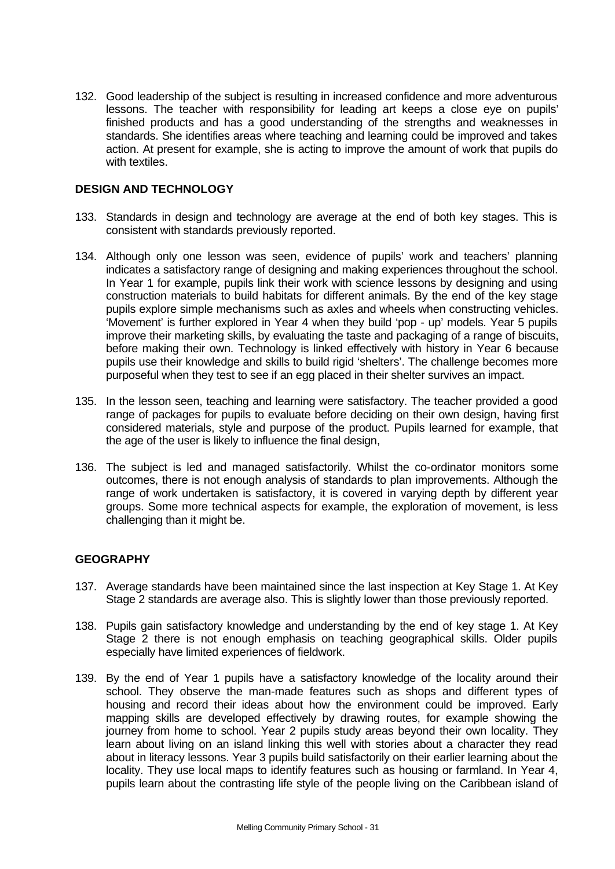132. Good leadership of the subject is resulting in increased confidence and more adventurous lessons. The teacher with responsibility for leading art keeps a close eye on pupils' finished products and has a good understanding of the strengths and weaknesses in standards. She identifies areas where teaching and learning could be improved and takes action. At present for example, she is acting to improve the amount of work that pupils do with textiles.

# **DESIGN AND TECHNOLOGY**

- 133. Standards in design and technology are average at the end of both key stages. This is consistent with standards previously reported.
- 134. Although only one lesson was seen, evidence of pupils' work and teachers' planning indicates a satisfactory range of designing and making experiences throughout the school. In Year 1 for example, pupils link their work with science lessons by designing and using construction materials to build habitats for different animals. By the end of the key stage pupils explore simple mechanisms such as axles and wheels when constructing vehicles. 'Movement' is further explored in Year 4 when they build 'pop - up' models. Year 5 pupils improve their marketing skills, by evaluating the taste and packaging of a range of biscuits, before making their own. Technology is linked effectively with history in Year 6 because pupils use their knowledge and skills to build rigid 'shelters'. The challenge becomes more purposeful when they test to see if an egg placed in their shelter survives an impact.
- 135. In the lesson seen, teaching and learning were satisfactory. The teacher provided a good range of packages for pupils to evaluate before deciding on their own design, having first considered materials, style and purpose of the product. Pupils learned for example, that the age of the user is likely to influence the final design,
- 136. The subject is led and managed satisfactorily. Whilst the co-ordinator monitors some outcomes, there is not enough analysis of standards to plan improvements. Although the range of work undertaken is satisfactory, it is covered in varying depth by different year groups. Some more technical aspects for example, the exploration of movement, is less challenging than it might be.

# **GEOGRAPHY**

- 137. Average standards have been maintained since the last inspection at Key Stage 1. At Key Stage 2 standards are average also. This is slightly lower than those previously reported.
- 138. Pupils gain satisfactory knowledge and understanding by the end of key stage 1. At Key Stage 2 there is not enough emphasis on teaching geographical skills. Older pupils especially have limited experiences of fieldwork.
- 139. By the end of Year 1 pupils have a satisfactory knowledge of the locality around their school. They observe the man-made features such as shops and different types of housing and record their ideas about how the environment could be improved. Early mapping skills are developed effectively by drawing routes, for example showing the journey from home to school. Year 2 pupils study areas beyond their own locality. They learn about living on an island linking this well with stories about a character they read about in literacy lessons. Year 3 pupils build satisfactorily on their earlier learning about the locality. They use local maps to identify features such as housing or farmland. In Year 4, pupils learn about the contrasting life style of the people living on the Caribbean island of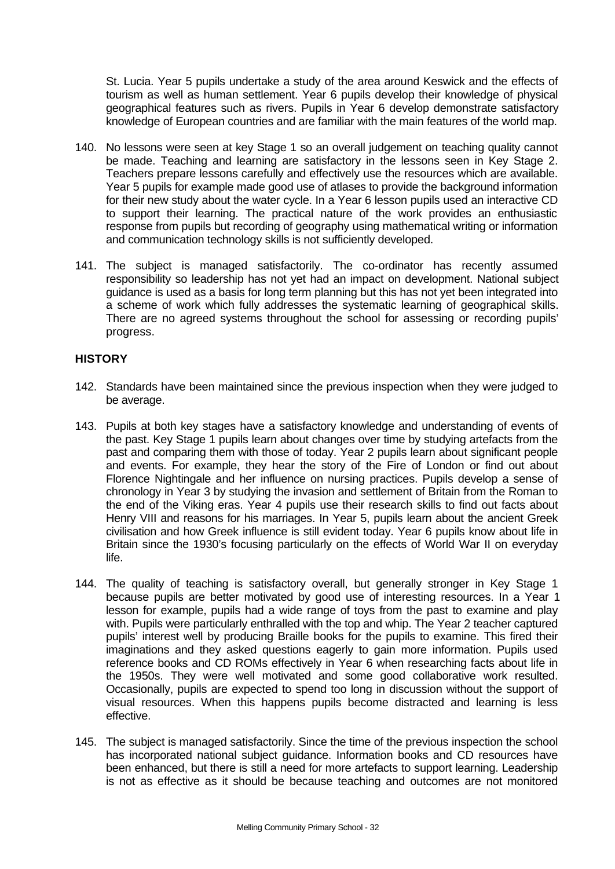St. Lucia. Year 5 pupils undertake a study of the area around Keswick and the effects of tourism as well as human settlement. Year 6 pupils develop their knowledge of physical geographical features such as rivers. Pupils in Year 6 develop demonstrate satisfactory knowledge of European countries and are familiar with the main features of the world map.

- 140. No lessons were seen at key Stage 1 so an overall judgement on teaching quality cannot be made. Teaching and learning are satisfactory in the lessons seen in Key Stage 2. Teachers prepare lessons carefully and effectively use the resources which are available. Year 5 pupils for example made good use of atlases to provide the background information for their new study about the water cycle. In a Year 6 lesson pupils used an interactive CD to support their learning. The practical nature of the work provides an enthusiastic response from pupils but recording of geography using mathematical writing or information and communication technology skills is not sufficiently developed.
- 141. The subject is managed satisfactorily. The co-ordinator has recently assumed responsibility so leadership has not yet had an impact on development. National subject guidance is used as a basis for long term planning but this has not yet been integrated into a scheme of work which fully addresses the systematic learning of geographical skills. There are no agreed systems throughout the school for assessing or recording pupils' progress.

# **HISTORY**

- 142. Standards have been maintained since the previous inspection when they were judged to be average.
- 143. Pupils at both key stages have a satisfactory knowledge and understanding of events of the past. Key Stage 1 pupils learn about changes over time by studying artefacts from the past and comparing them with those of today. Year 2 pupils learn about significant people and events. For example, they hear the story of the Fire of London or find out about Florence Nightingale and her influence on nursing practices. Pupils develop a sense of chronology in Year 3 by studying the invasion and settlement of Britain from the Roman to the end of the Viking eras. Year 4 pupils use their research skills to find out facts about Henry VIII and reasons for his marriages. In Year 5, pupils learn about the ancient Greek civilisation and how Greek influence is still evident today. Year 6 pupils know about life in Britain since the 1930's focusing particularly on the effects of World War II on everyday life.
- 144. The quality of teaching is satisfactory overall, but generally stronger in Key Stage 1 because pupils are better motivated by good use of interesting resources. In a Year 1 lesson for example, pupils had a wide range of toys from the past to examine and play with. Pupils were particularly enthralled with the top and whip. The Year 2 teacher captured pupils' interest well by producing Braille books for the pupils to examine. This fired their imaginations and they asked questions eagerly to gain more information. Pupils used reference books and CD ROMs effectively in Year 6 when researching facts about life in the 1950s. They were well motivated and some good collaborative work resulted. Occasionally, pupils are expected to spend too long in discussion without the support of visual resources. When this happens pupils become distracted and learning is less effective.
- 145. The subject is managed satisfactorily. Since the time of the previous inspection the school has incorporated national subject guidance. Information books and CD resources have been enhanced, but there is still a need for more artefacts to support learning. Leadership is not as effective as it should be because teaching and outcomes are not monitored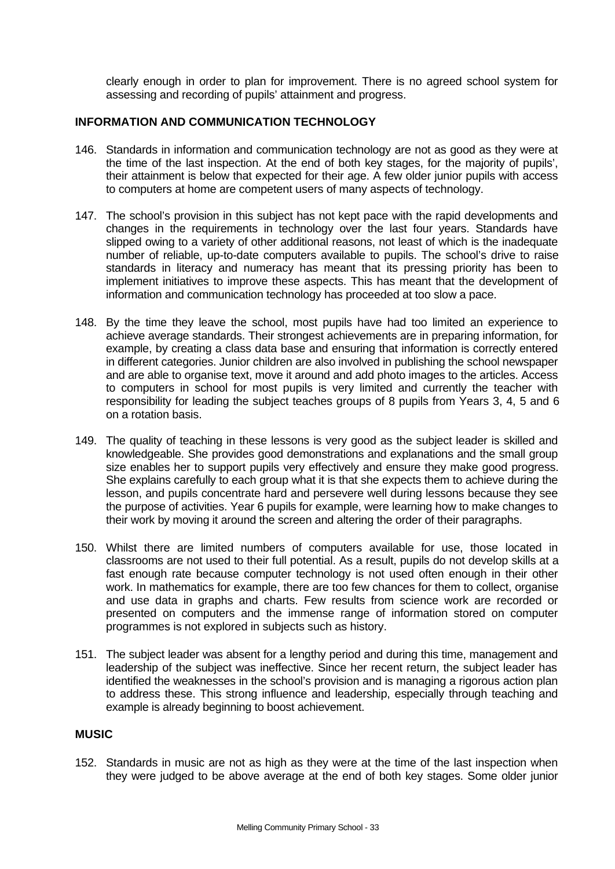clearly enough in order to plan for improvement. There is no agreed school system for assessing and recording of pupils' attainment and progress.

# **INFORMATION AND COMMUNICATION TECHNOLOGY**

- 146. Standards in information and communication technology are not as good as they were at the time of the last inspection. At the end of both key stages, for the majority of pupils', their attainment is below that expected for their age. A few older junior pupils with access to computers at home are competent users of many aspects of technology.
- 147. The school's provision in this subject has not kept pace with the rapid developments and changes in the requirements in technology over the last four years. Standards have slipped owing to a variety of other additional reasons, not least of which is the inadequate number of reliable, up-to-date computers available to pupils. The school's drive to raise standards in literacy and numeracy has meant that its pressing priority has been to implement initiatives to improve these aspects. This has meant that the development of information and communication technology has proceeded at too slow a pace.
- 148. By the time they leave the school, most pupils have had too limited an experience to achieve average standards. Their strongest achievements are in preparing information, for example, by creating a class data base and ensuring that information is correctly entered in different categories. Junior children are also involved in publishing the school newspaper and are able to organise text, move it around and add photo images to the articles. Access to computers in school for most pupils is very limited and currently the teacher with responsibility for leading the subject teaches groups of 8 pupils from Years 3, 4, 5 and 6 on a rotation basis.
- 149. The quality of teaching in these lessons is very good as the subject leader is skilled and knowledgeable. She provides good demonstrations and explanations and the small group size enables her to support pupils very effectively and ensure they make good progress. She explains carefully to each group what it is that she expects them to achieve during the lesson, and pupils concentrate hard and persevere well during lessons because they see the purpose of activities. Year 6 pupils for example, were learning how to make changes to their work by moving it around the screen and altering the order of their paragraphs.
- 150. Whilst there are limited numbers of computers available for use, those located in classrooms are not used to their full potential. As a result, pupils do not develop skills at a fast enough rate because computer technology is not used often enough in their other work. In mathematics for example, there are too few chances for them to collect, organise and use data in graphs and charts. Few results from science work are recorded or presented on computers and the immense range of information stored on computer programmes is not explored in subjects such as history.
- 151. The subject leader was absent for a lengthy period and during this time, management and leadership of the subject was ineffective. Since her recent return, the subject leader has identified the weaknesses in the school's provision and is managing a rigorous action plan to address these. This strong influence and leadership, especially through teaching and example is already beginning to boost achievement.

### **MUSIC**

152. Standards in music are not as high as they were at the time of the last inspection when they were judged to be above average at the end of both key stages. Some older junior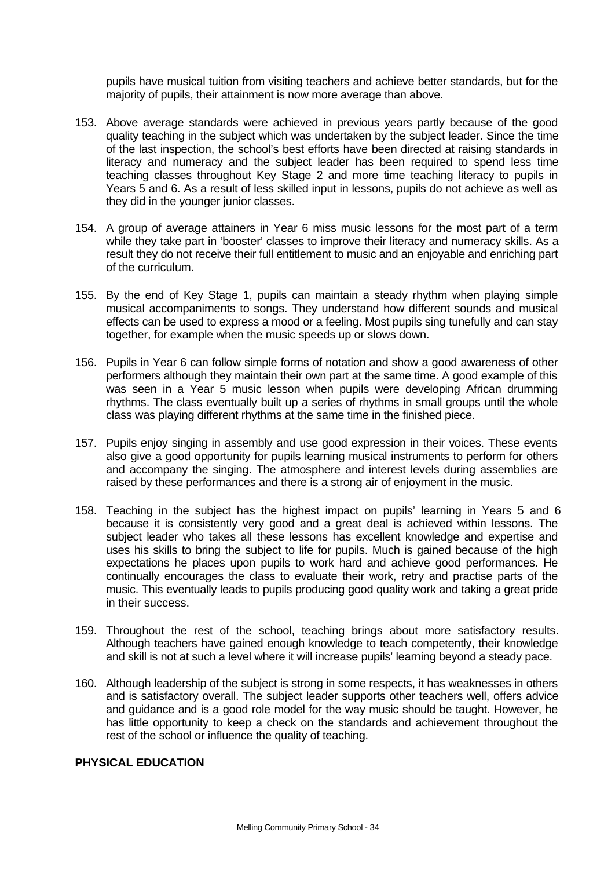pupils have musical tuition from visiting teachers and achieve better standards, but for the majority of pupils, their attainment is now more average than above.

- 153. Above average standards were achieved in previous years partly because of the good quality teaching in the subject which was undertaken by the subject leader. Since the time of the last inspection, the school's best efforts have been directed at raising standards in literacy and numeracy and the subject leader has been required to spend less time teaching classes throughout Key Stage 2 and more time teaching literacy to pupils in Years 5 and 6. As a result of less skilled input in lessons, pupils do not achieve as well as they did in the younger junior classes.
- 154. A group of average attainers in Year 6 miss music lessons for the most part of a term while they take part in 'booster' classes to improve their literacy and numeracy skills. As a result they do not receive their full entitlement to music and an enjoyable and enriching part of the curriculum.
- 155. By the end of Key Stage 1, pupils can maintain a steady rhythm when playing simple musical accompaniments to songs. They understand how different sounds and musical effects can be used to express a mood or a feeling. Most pupils sing tunefully and can stay together, for example when the music speeds up or slows down.
- 156. Pupils in Year 6 can follow simple forms of notation and show a good awareness of other performers although they maintain their own part at the same time. A good example of this was seen in a Year 5 music lesson when pupils were developing African drumming rhythms. The class eventually built up a series of rhythms in small groups until the whole class was playing different rhythms at the same time in the finished piece.
- 157. Pupils enjoy singing in assembly and use good expression in their voices. These events also give a good opportunity for pupils learning musical instruments to perform for others and accompany the singing. The atmosphere and interest levels during assemblies are raised by these performances and there is a strong air of enjoyment in the music.
- 158. Teaching in the subject has the highest impact on pupils' learning in Years 5 and 6 because it is consistently very good and a great deal is achieved within lessons. The subject leader who takes all these lessons has excellent knowledge and expertise and uses his skills to bring the subject to life for pupils. Much is gained because of the high expectations he places upon pupils to work hard and achieve good performances. He continually encourages the class to evaluate their work, retry and practise parts of the music. This eventually leads to pupils producing good quality work and taking a great pride in their success.
- 159. Throughout the rest of the school, teaching brings about more satisfactory results. Although teachers have gained enough knowledge to teach competently, their knowledge and skill is not at such a level where it will increase pupils' learning beyond a steady pace.
- 160. Although leadership of the subject is strong in some respects, it has weaknesses in others and is satisfactory overall. The subject leader supports other teachers well, offers advice and guidance and is a good role model for the way music should be taught. However, he has little opportunity to keep a check on the standards and achievement throughout the rest of the school or influence the quality of teaching.

# **PHYSICAL EDUCATION**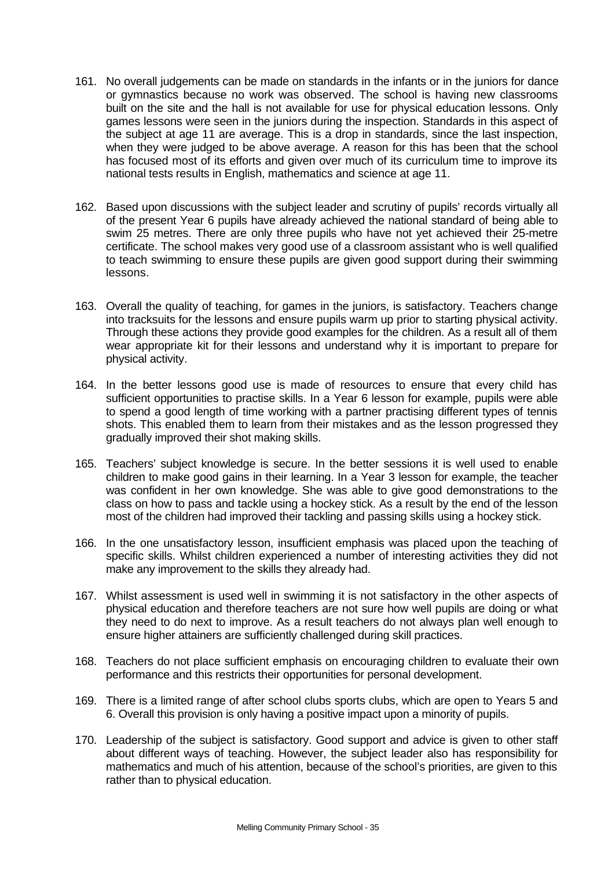- 161. No overall judgements can be made on standards in the infants or in the juniors for dance or gymnastics because no work was observed. The school is having new classrooms built on the site and the hall is not available for use for physical education lessons. Only games lessons were seen in the juniors during the inspection. Standards in this aspect of the subject at age 11 are average. This is a drop in standards, since the last inspection, when they were judged to be above average. A reason for this has been that the school has focused most of its efforts and given over much of its curriculum time to improve its national tests results in English, mathematics and science at age 11.
- 162. Based upon discussions with the subject leader and scrutiny of pupils' records virtually all of the present Year 6 pupils have already achieved the national standard of being able to swim 25 metres. There are only three pupils who have not yet achieved their 25-metre certificate. The school makes very good use of a classroom assistant who is well qualified to teach swimming to ensure these pupils are given good support during their swimming lessons.
- 163. Overall the quality of teaching, for games in the juniors, is satisfactory. Teachers change into tracksuits for the lessons and ensure pupils warm up prior to starting physical activity. Through these actions they provide good examples for the children. As a result all of them wear appropriate kit for their lessons and understand why it is important to prepare for physical activity.
- 164. In the better lessons good use is made of resources to ensure that every child has sufficient opportunities to practise skills. In a Year 6 lesson for example, pupils were able to spend a good length of time working with a partner practising different types of tennis shots. This enabled them to learn from their mistakes and as the lesson progressed they gradually improved their shot making skills.
- 165. Teachers' subject knowledge is secure. In the better sessions it is well used to enable children to make good gains in their learning. In a Year 3 lesson for example, the teacher was confident in her own knowledge. She was able to give good demonstrations to the class on how to pass and tackle using a hockey stick. As a result by the end of the lesson most of the children had improved their tackling and passing skills using a hockey stick.
- 166. In the one unsatisfactory lesson, insufficient emphasis was placed upon the teaching of specific skills. Whilst children experienced a number of interesting activities they did not make any improvement to the skills they already had.
- 167. Whilst assessment is used well in swimming it is not satisfactory in the other aspects of physical education and therefore teachers are not sure how well pupils are doing or what they need to do next to improve. As a result teachers do not always plan well enough to ensure higher attainers are sufficiently challenged during skill practices.
- 168. Teachers do not place sufficient emphasis on encouraging children to evaluate their own performance and this restricts their opportunities for personal development.
- 169. There is a limited range of after school clubs sports clubs, which are open to Years 5 and 6. Overall this provision is only having a positive impact upon a minority of pupils.
- 170. Leadership of the subject is satisfactory. Good support and advice is given to other staff about different ways of teaching. However, the subject leader also has responsibility for mathematics and much of his attention, because of the school's priorities, are given to this rather than to physical education.